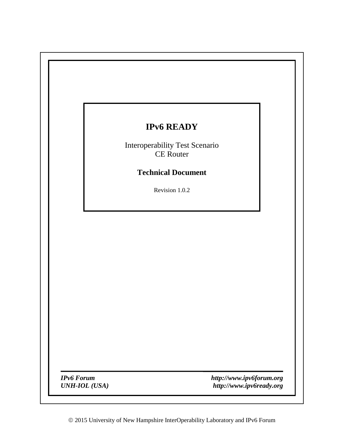# **IPv6 READY**

Interoperability Test Scenario CE Router

# **Technical Document**

Revision 1.0.2

*IPv6 Forum http://www.ipv6forum.org UNH-IOL (USA) http://www.ipv6ready.org*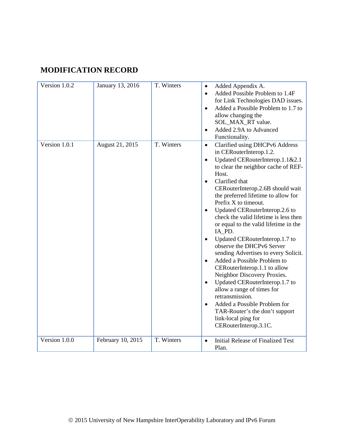# <span id="page-1-0"></span>**MODIFICATION RECORD**

| Version 1.0.2 | January 13, 2016  | T. Winters | Added Appendix A.<br>$\bullet$<br>Added Possible Problem to 1.4F<br>$\bullet$<br>for Link Technologies DAD issues.<br>Added a Possible Problem to 1.7 to<br>$\bullet$<br>allow changing the<br>SOL_MAX_RT value.<br>Added 2.9A to Advanced<br>$\bullet$<br>Functionality.                                                                                                                                                                                                                                                                                                                                                                                                                                                                                                                                                                                                               |
|---------------|-------------------|------------|-----------------------------------------------------------------------------------------------------------------------------------------------------------------------------------------------------------------------------------------------------------------------------------------------------------------------------------------------------------------------------------------------------------------------------------------------------------------------------------------------------------------------------------------------------------------------------------------------------------------------------------------------------------------------------------------------------------------------------------------------------------------------------------------------------------------------------------------------------------------------------------------|
| Version 1.0.1 | August 21, 2015   | T. Winters | Clarified using DHCPv6 Address<br>$\bullet$<br>in CERouterInterop.1.2.<br>Updated CERouterInterop.1.1&2.1<br>$\bullet$<br>to clear the neighbor cache of REF-<br>Host.<br>Clarified that<br>CERouterInterop.2.6B should wait<br>the preferred lifetime to allow for<br>Prefix X to timeout.<br>Updated CERouterInterop.2.6 to<br>check the valid lifetime is less then<br>or equal to the valid lifetime in the<br>IA_PD.<br>Updated CERouterInterop.1.7 to<br>$\bullet$<br>observe the DHCPv6 Server<br>sending Advertises to every Solicit.<br>Added a Possible Problem to<br>$\bullet$<br>CERouterInterop.1.1 to allow<br>Neighbor Discovery Proxies.<br>Updated CERouterInterop.1.7 to<br>$\bullet$<br>allow a range of times for<br>retransmission.<br>Added a Possible Problem for<br>$\bullet$<br>TAR-Router's the don't support<br>link-local ping for<br>CERouterInterop.3.1C. |
| Version 1.0.0 | February 10, 2015 | T. Winters | <b>Initial Release of Finalized Test</b><br>$\bullet$<br>Plan.                                                                                                                                                                                                                                                                                                                                                                                                                                                                                                                                                                                                                                                                                                                                                                                                                          |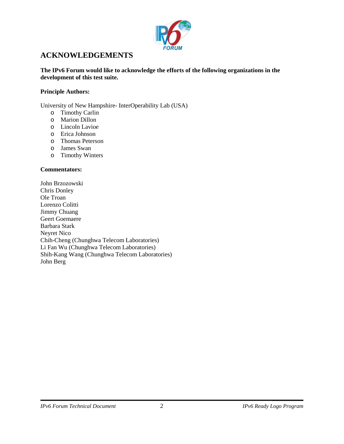

## <span id="page-2-0"></span>**ACKNOWLEDGEMENTS**

**The IPv6 Forum would like to acknowledge the efforts of the following organizations in the development of this test suite.**

#### **Principle Authors:**

University of New Hampshire- InterOperability Lab (USA)

- o Timothy Carlin
- o Marion Dillon
- o Lincoln Lavioe
- o Erica Johnson
- o Thomas Peterson
- o James Swan
- o Timothy Winters

#### **Commentators:**

John Brzozowski Chris Donley Ole Troan Lorenzo Colitti Jimmy Chuang Geert Goemaere Barbara Stark Neyret Nico Chih-Cheng (Chunghwa Telecom Laboratories) Li Fan Wu (Chunghwa Telecom Laboratories) Shih-Kang Wang (Chunghwa Telecom Laboratories) John Berg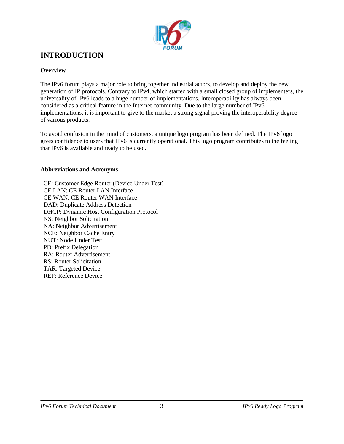

# <span id="page-3-0"></span>**INTRODUCTION**

## **Overview**

The IPv6 forum plays a major role to bring together industrial actors, to develop and deploy the new generation of IP protocols. Contrary to IPv4, which started with a small closed group of implementers, the universality of IPv6 leads to a huge number of implementations. Interoperability has always been considered as a critical feature in the Internet community. Due to the large number of IPv6 implementations, it is important to give to the market a strong signal proving the interoperability degree of various products.

To avoid confusion in the mind of customers, a unique logo program has been defined. The IPv6 logo gives confidence to users that IPv6 is currently operational. This logo program contributes to the feeling that IPv6 is available and ready to be used.

#### **Abbreviations and Acronyms**

 CE: Customer Edge Router (Device Under Test) CE LAN: CE Router LAN Interface CE WAN: CE Router WAN Interface DAD: Duplicate Address Detection DHCP: Dynamic Host Configuration Protocol NS: Neighbor Solicitation NA: Neighbor Advertisement NCE: Neighbor Cache Entry NUT: Node Under Test PD: Prefix Delegation RA: Router Advertisement RS: Router Solicitation TAR: Targeted Device REF: Reference Device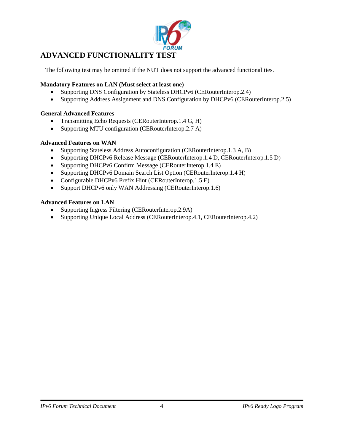

# <span id="page-4-0"></span>**ADVANCED FUNCTIONALITY TEST**

The following test may be omitted if the NUT does not support the advanced functionalities.

#### **Mandatory Features on LAN (Must select at least one)**

- Supporting DNS Configuration by Stateless DHCPv6 (CERouterInterop.2.4)
- Supporting Address Assignment and DNS Configuration by DHCPv6 (CERouterInterop.2.5)

#### **General Advanced Features**

- Transmitting Echo Requests (CERouterInterop.1.4 G, H)
- Supporting MTU configuration (CERouterInterop.2.7 A)

#### **Advanced Features on WAN**

- Supporting Stateless Address Autoconfiguration (CERouterInterop.1.3 A, B)
- Supporting DHCPv6 Release Message (CERouterInterop.1.4 D, CERouterInterop.1.5 D)
- Supporting DHCPv6 Confirm Message (CERouterInterop.1.4 E)
- Supporting DHCPv6 Domain Search List Option (CERouterInterop.1.4 H)
- Configurable DHCPv6 Prefix Hint (CERouterInterop.1.5 E)
- Support DHCPv6 only WAN Addressing (CERouterInterop.1.6)

#### **Advanced Features on LAN**

- Supporting Ingress Filtering (CERouterInterop.2.9A)
- Supporting Unique Local Address (CERouterInterop.4.1, CERouterInterop.4.2)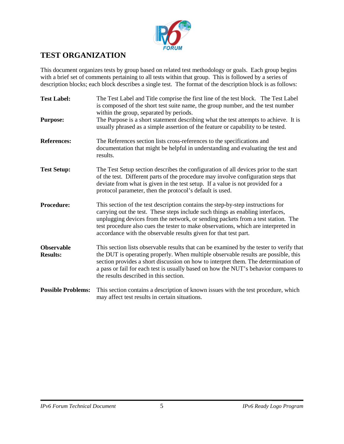

# <span id="page-5-0"></span>**TEST ORGANIZATION**

This document organizes tests by group based on related test methodology or goals. Each group begins with a brief set of comments pertaining to all tests within that group. This is followed by a series of description blocks; each block describes a single test. The format of the description block is as follows:

| <b>Test Label:</b>                   | The Test Label and Title comprise the first line of the test block. The Test Label<br>is composed of the short test suite name, the group number, and the test number<br>within the group, separated by periods.                                                                                                                                                                                                |
|--------------------------------------|-----------------------------------------------------------------------------------------------------------------------------------------------------------------------------------------------------------------------------------------------------------------------------------------------------------------------------------------------------------------------------------------------------------------|
| <b>Purpose:</b>                      | The Purpose is a short statement describing what the test attempts to achieve. It is<br>usually phrased as a simple assertion of the feature or capability to be tested.                                                                                                                                                                                                                                        |
| <b>References:</b>                   | The References section lists cross-references to the specifications and<br>documentation that might be helpful in understanding and evaluating the test and<br>results.                                                                                                                                                                                                                                         |
| <b>Test Setup:</b>                   | The Test Setup section describes the configuration of all devices prior to the start<br>of the test. Different parts of the procedure may involve configuration steps that<br>deviate from what is given in the test setup. If a value is not provided for a<br>protocol parameter, then the protocol's default is used.                                                                                        |
| <b>Procedure:</b>                    | This section of the test description contains the step-by-step instructions for<br>carrying out the test. These steps include such things as enabling interfaces,<br>unplugging devices from the network, or sending packets from a test station. The<br>test procedure also cues the tester to make observations, which are interpreted in<br>accordance with the observable results given for that test part. |
| <b>Observable</b><br><b>Results:</b> | This section lists observable results that can be examined by the tester to verify that<br>the DUT is operating properly. When multiple observable results are possible, this<br>section provides a short discussion on how to interpret them. The determination of<br>a pass or fail for each test is usually based on how the NUT's behavior compares to<br>the results described in this section.            |
| <b>Possible Problems:</b>            | This section contains a description of known issues with the test procedure, which<br>may affect test results in certain situations.                                                                                                                                                                                                                                                                            |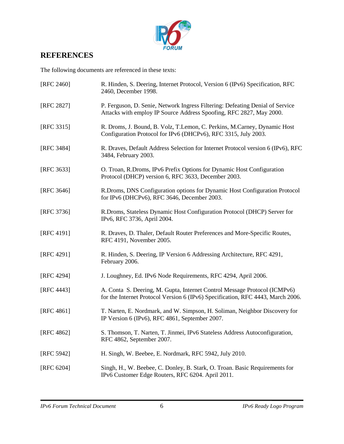

# <span id="page-6-0"></span>**REFERENCES**

The following documents are referenced in these texts:

| [RFC 2460] | R. Hinden, S. Deering, Internet Protocol, Version 6 (IPv6) Specification, RFC<br>2460, December 1998.                                                        |
|------------|--------------------------------------------------------------------------------------------------------------------------------------------------------------|
| [RFC 2827] | P. Ferguson, D. Senie, Network Ingress Filtering: Defeating Denial of Service<br>Attacks with employ IP Source Address Spoofing, RFC 2827, May 2000.         |
| [RFC 3315] | R. Droms, J. Bound, B. Volz, T.Lemon, C. Perkins, M.Carney, Dynamic Host<br>Configuration Protocol for IPv6 (DHCPv6), RFC 3315, July 2003.                   |
| [RFC 3484] | R. Draves, Default Address Selection for Internet Protocol version 6 (IPv6), RFC<br>3484, February 2003.                                                     |
| [RFC 3633] | O. Troan, R.Droms, IPv6 Prefix Options for Dynamic Host Configuration<br>Protocol (DHCP) version 6, RFC 3633, December 2003.                                 |
| [RFC 3646] | R.Droms, DNS Configuration options for Dynamic Host Configuration Protocol<br>for IPv6 (DHCPv6), RFC 3646, December 2003.                                    |
| [RFC 3736] | R.Droms, Stateless Dynamic Host Configuration Protocol (DHCP) Server for<br>IPv6, RFC 3736, April 2004.                                                      |
| [RFC 4191] | R. Draves, D. Thaler, Default Router Preferences and More-Specific Routes,<br>RFC 4191, November 2005.                                                       |
| [RFC 4291] | R. Hinden, S. Deering, IP Version 6 Addressing Architecture, RFC 4291,<br>February 2006.                                                                     |
| [RFC 4294] | J. Loughney, Ed. IPv6 Node Requirements, RFC 4294, April 2006.                                                                                               |
| [RFC 4443] | A. Conta S. Deering, M. Gupta, Internet Control Message Protocol (ICMPv6)<br>for the Internet Protocol Version 6 (IPv6) Specification, RFC 4443, March 2006. |
| [RFC 4861] | T. Narten, E. Nordmark, and W. Simpson, H. Soliman, Neighbor Discovery for<br>IP Version 6 (IPv6), RFC 4861, September 2007.                                 |
| [RFC 4862] | S. Thomson, T. Narten, T. Jinmei, IPv6 Stateless Address Autoconfiguration,<br>RFC 4862, September 2007.                                                     |
| [RFC 5942] | H. Singh, W. Beebee, E. Nordmark, RFC 5942, July 2010.                                                                                                       |
| [RFC 6204] | Singh, H., W. Beebee, C. Donley, B. Stark, O. Troan. Basic Requirements for<br>IPv6 Customer Edge Routers, RFC 6204. April 2011.                             |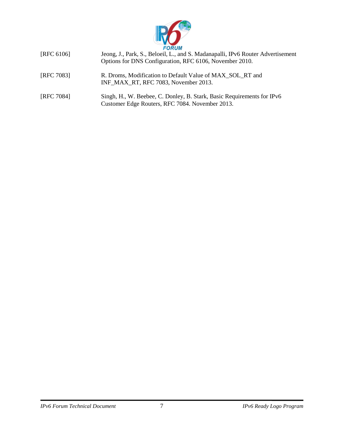

| [RFC 6106] | FURUM<br>Jeong, J., Park, S., Beloeil, L., and S. Madanapalli, IPv6 Router Advertisement<br>Options for DNS Configuration, RFC 6106, November 2010. |
|------------|-----------------------------------------------------------------------------------------------------------------------------------------------------|
| [RFC 7083] | R. Droms, Modification to Default Value of MAX SOL RT and<br>INF MAX RT, RFC 7083, November 2013.                                                   |
| [RFC 7084] | Singh, H., W. Beebee, C. Donley, B. Stark, Basic Requirements for IPv6<br>Customer Edge Routers, RFC 7084. November 2013.                           |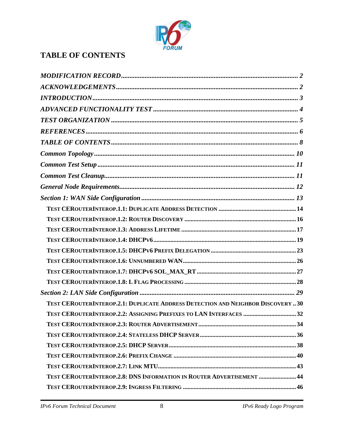

# <span id="page-8-0"></span>**TABLE OF CONTENTS**

| <b>TEST CEROUTERINTEROP.2.1: DUPLICATE ADDRESS DETECTION AND NEIGHBOR DISCOVERY 30</b> |
|----------------------------------------------------------------------------------------|
| TEST CEROUTERINTEROP.2.2: ASSIGNING PREFIXES TO LAN INTERFACES 32                      |
|                                                                                        |
|                                                                                        |
|                                                                                        |
|                                                                                        |
|                                                                                        |
| TEST CEROUTERINTEROP.2.8: DNS INFORMATION IN ROUTER ADVERTISEMENT  44                  |
|                                                                                        |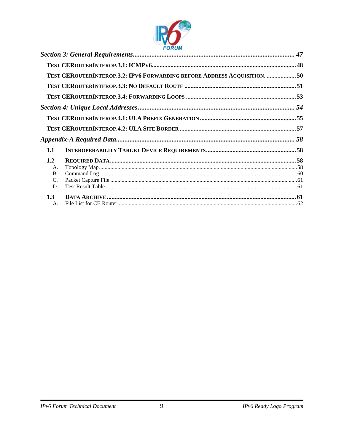

<span id="page-9-0"></span>

|                                                           | FURUM                                                                     |  |
|-----------------------------------------------------------|---------------------------------------------------------------------------|--|
|                                                           |                                                                           |  |
|                                                           | TEST CEROUTERINTEROP.3.2: IPV6 FORWARDING BEFORE ADDRESS ACQUISITION.  50 |  |
|                                                           |                                                                           |  |
|                                                           |                                                                           |  |
|                                                           |                                                                           |  |
|                                                           |                                                                           |  |
|                                                           |                                                                           |  |
|                                                           |                                                                           |  |
| 1.1                                                       |                                                                           |  |
| $1.2^{\circ}$<br>А.<br><b>B.</b><br>$\mathcal{C}$ .<br>D. |                                                                           |  |
| 1.3<br>$\mathsf{A}$ .                                     |                                                                           |  |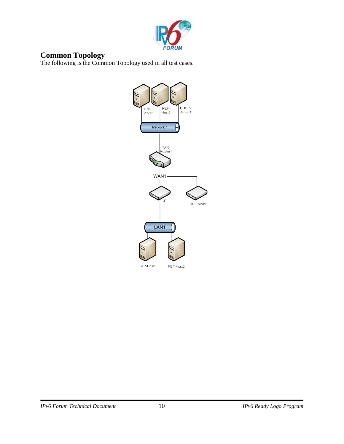

# <span id="page-10-0"></span>**Common Topology**

The following is the Common Topology used in all test cases.

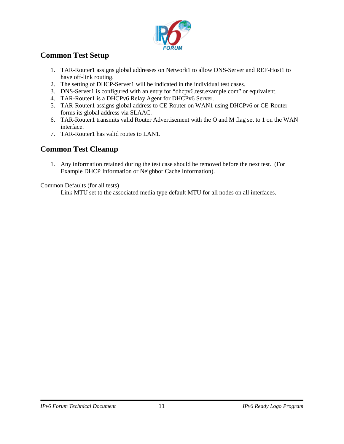

# <span id="page-11-0"></span>**Common Test Setup**

- 1. TAR-Router1 assigns global addresses on Network1 to allow DNS-Server and REF-Host1 to have off-link routing.
- 2. The setting of DHCP-Server1 will be indicated in the individual test cases.
- 3. DNS-Server1 is configured with an entry for "dhcpv6.test.example.com" or equivalent.
- 4. TAR-Router1 is a DHCPv6 Relay Agent for DHCPv6 Server.
- 5. TAR-Router1 assigns global address to CE-Router on WAN1 using DHCPv6 or CE-Router forms its global address via SLAAC.
- 6. TAR-Router1 transmits valid Router Advertisement with the O and M flag set to 1 on the WAN interface.
- 7. TAR-Router1 has valid routes to LAN1.

## <span id="page-11-1"></span>**Common Test Cleanup**

1. Any information retained during the test case should be removed before the next test. (For Example DHCP Information or Neighbor Cache Information).

## Common Defaults (for all tests)

Link MTU set to the associated media type default MTU for all nodes on all interfaces.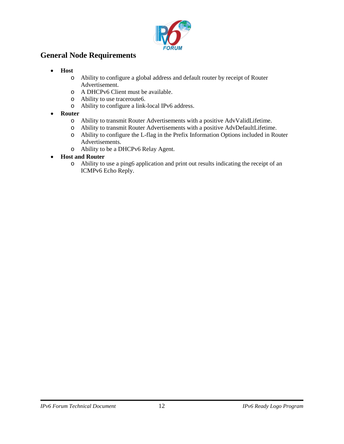

## <span id="page-12-0"></span>**General Node Requirements**

- **Host** 
	- o Ability to configure a global address and default router by receipt of Router Advertisement.
	- o A DHCPv6 Client must be available.
	- o Ability to use traceroute6.
	- o Ability to configure a link-local IPv6 address.
- **Router**
	- o Ability to transmit Router Advertisements with a positive AdvValidLifetime.
	- o Ability to transmit Router Advertisements with a positive AdvDefaultLifetime.
	- o Ability to configure the L-flag in the Prefix Information Options included in Router Advertisements.
	- o Ability to be a DHCPv6 Relay Agent.
- <span id="page-12-1"></span>• **Host and Router**
	- o Ability to use a ping6 application and print out results indicating the receipt of an ICMPv6 Echo Reply.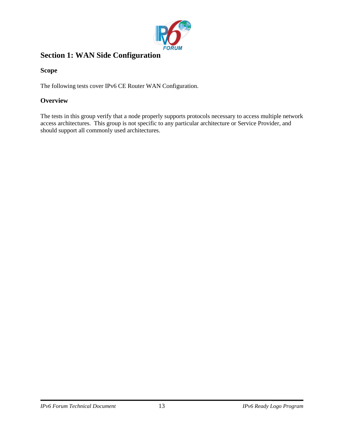

# **Section 1: WAN Side Configuration**

## **Scope**

The following tests cover IPv6 CE Router WAN Configuration.

## **Overview**

The tests in this group verify that a node properly supports protocols necessary to access multiple network access architectures. This group is not specific to any particular architecture or Service Provider, and should support all commonly used architectures.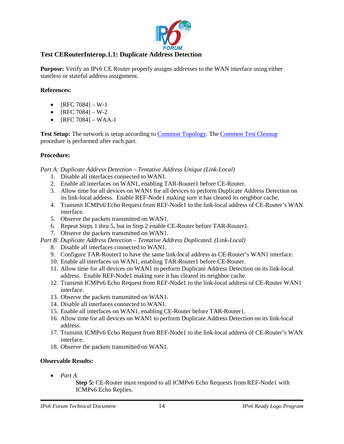

## <span id="page-14-0"></span>**Test CERouterInterop.1.1: Duplicate Address Detection**

**Purpose:** Verify an IPv6 CE Router properly assigns addresses to the WAN interface using either stateless or stateful address assignment.

#### **References:**

- $[RFC 7084] W-1$
- $[RFC 7084] W-2$
- [RFC 7084] WAA-1

**Test Setup:** The network is setup according to [Common Topology.](#page-9-0) The [Common Test Cleanup](#page-11-1) procedure is performed after each part.

## **Procedure:**

*Part A: Duplicate Address Detection – Tentative Address Unique (Link-Local)*

- 1. Disable all interfaces connected to WAN1.
- 2. Enable all interfaces on WAN1, enabling TAR-Router1 before CE-Router.
- 3. Allow time for all devices on WAN1 for all devices to perform Duplicate Address Detection on its link-local address. Enable REF-Node1 making sure it has cleared its neighbor cache.
- 4. Transmit ICMPv6 Echo Request from REF-Node1 to the link-local address of CE-Router's WAN interface.
- 5. Observe the packets transmitted on WAN1.
- 6. Repeat Steps 1 thru 5, but in Step 2 enable CE-Router before TAR-Router1.
- 7. Observe the packets transmitted on WAN1.
- *Part B: Duplicate Address Detection – Tentative Address Duplicated. (Link-Local)*
	- 8. Disable all interfaces connected to WAN1.
	- 9. Configure TAR-Router1 to have the same link-local address as CE-Router's WAN1 interface.
	- 10. Enable all interfaces on WAN1, enabling TAR-Router1 before CE-Router.
	- 11. Allow time for all devices on WAN1 to perform Duplicate Address Detection on its link-local address. Enable REF-Node1 making sure it has cleared its neighbor cache.
	- 12. Transmit ICMPv6 Echo Request from REF-Node1 to the link-local address of CE-Router WAN1 interface.
	- 13. Observe the packets transmitted on WAN1.
	- 14. Disable all interfaces connected to WAN1.
	- 15. Enable all interfaces on WAN1, enabling CE-Router before TAR-Router1.
	- 16. Allow time for all devices on WAN1 to perform Duplicate Address Detection on its link-local address.
	- 17. Transmit ICMPv6 Echo Request from REF-Node1 to the link-local address of CE-Router's WAN interface.
	- 18. Observe the packets transmitted on WAN1.

## **Observable Results:**

• *Part A*

**Step 5:** CE-Router must respond to all ICMPv6 Echo Requests from REF-Node1 with ICMPv6 Echo Replies.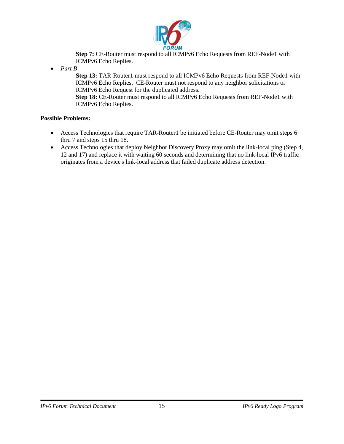

**Step 7:** CE-Router must respond to all ICMPv6 Echo Requests from REF-Node1 with ICMPv6 Echo Replies.

• *Part B*

**Step 13:** TAR-Router1 must respond to all ICMPv6 Echo Requests from REF-Node1 with ICMPv6 Echo Replies. CE-Router must not respond to any neighbor solicitations or ICMPv6 Echo Request for the duplicated address. **Step 18:** CE-Router must respond to all ICMPv6 Echo Requests from REF-Node1 with

ICMPv6 Echo Replies.

#### **Possible Problems:**

- Access Technologies that require TAR-Router1 be initiated before CE-Router may omit steps 6 thru 7 and steps 15 thru 18.
- Access Technologies that deploy Neighbor Discovery Proxy may omit the link-local ping (Step 4, 12 and 17) and replace it with waiting 60 seconds and determining that no link-local IPv6 traffic originates from a device's link-local address that failed duplicate address detection.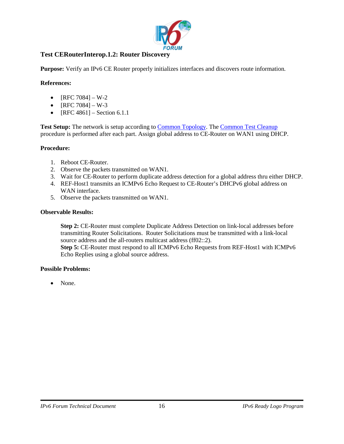

## <span id="page-16-0"></span>**Test CERouterInterop.1.2: Router Discovery**

**Purpose:** Verify an IPv6 CE Router properly initializes interfaces and discovers route information.

#### **References:**

- $[RFC 7084] W-2$
- $[RFC 7084] W-3$
- $[RFC 4861] Section 6.1.1$

**Test Setup:** The network is setup according to [Common Topology.](#page-9-0) The [Common Test Cleanup](#page-11-1) procedure is performed after each part. Assign global address to CE-Router on WAN1 using DHCP.

#### **Procedure:**

- 1. Reboot CE-Router.
- 2. Observe the packets transmitted on WAN1.
- 3. Wait for CE-Router to perform duplicate address detection for a global address thru either DHCP.
- 4. REF-Host1 transmits an ICMPv6 Echo Request to CE-Router's DHCPv6 global address on WAN interface.
- 5. Observe the packets transmitted on WAN1.

#### **Observable Results:**

**Step 2:** CE-Router must complete Duplicate Address Detection on link-local addresses before transmitting Router Solicitations. Router Solicitations must be transmitted with a link-local source address and the all-routers multicast address (ff02::2).

**Step 5:** CE-Router must respond to all ICMPv6 Echo Requests from REF-Host1 with ICMPv6 Echo Replies using a global source address.

#### **Possible Problems:**

• None.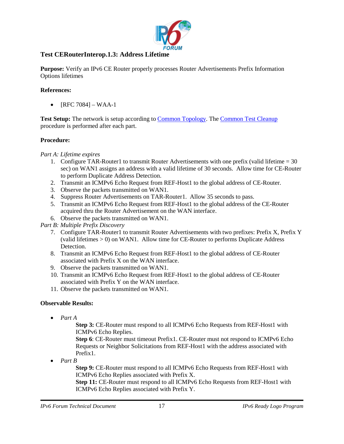

## <span id="page-17-0"></span>**Test CERouterInterop.1.3: Address Lifetime**

**Purpose:** Verify an IPv6 CE Router properly processes Router Advertisements Prefix Information Options lifetimes

#### **References:**

• [RFC 7084] – WAA-1

**Test Setup:** The network is setup according to **Common Topology**. The **Common Test Cleanup** procedure is performed after each part.

#### **Procedure:**

*Part A: Lifetime expires*

- 1. Configure TAR-Router1 to transmit Router Advertisements with one prefix (valid lifetime = 30 sec) on WAN1 assigns an address with a valid lifetime of 30 seconds. Allow time for CE-Router to perform Duplicate Address Detection.
- 2. Transmit an ICMPv6 Echo Request from REF-Host1 to the global address of CE-Router.
- 3. Observe the packets transmitted on WAN1.
- 4. Suppress Router Advertisements on TAR-Router1. Allow 35 seconds to pass.
- 5. Transmit an ICMPv6 Echo Request from REF-Host1 to the global address of the CE-Router acquired thru the Router Advertisement on the WAN interface.
- 6. Observe the packets transmitted on WAN1.

#### *Part B: Multiple Prefix Discovery*

- 7. Configure TAR-Router1 to transmit Router Advertisements with two prefixes: Prefix X, Prefix Y (valid lifetimes > 0) on WAN1. Allow time for CE-Router to performs Duplicate Address Detection.
- 8. Transmit an ICMPv6 Echo Request from REF-Host1 to the global address of CE-Router associated with Prefix X on the WAN interface.
- 9. Observe the packets transmitted on WAN1.
- 10. Transmit an ICMPv6 Echo Request from REF-Host1 to the global address of CE-Router associated with Prefix Y on the WAN interface.
- 11. Observe the packets transmitted on WAN1.

#### **Observable Results:**

• *Part A*

**Step 3:** CE-Router must respond to all ICMPv6 Echo Requests from REF-Host1 with ICMPv6 Echo Replies.

**Step 6**: CE-Router must timeout Prefix1. CE-Router must not respond to ICMPv6 Echo Requests or Neighbor Solicitations from REF-Host1 with the address associated with Prefix1.

• *Part B*

**Step 9:** CE-Router must respond to all ICMPv6 Echo Requests from REF-Host1 with ICMPv6 Echo Replies associated with Prefix X.

**Step 11:** CE-Router must respond to all ICMPv6 Echo Requests from REF-Host1 with ICMPv6 Echo Replies associated with Prefix Y.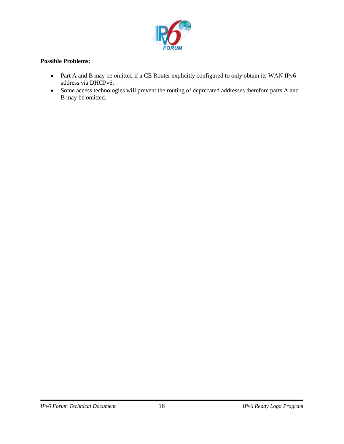

#### **Possible Problems:**

- Part A and B may be omitted if a CE Router explicitly configured to only obtain its WAN IPv6 address via DHCPv6.
- Some access technologies will prevent the routing of deprecated addresses therefore parts A and B may be omitted.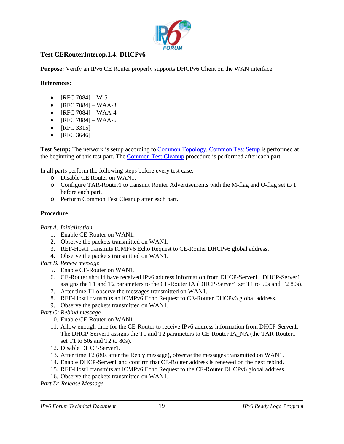

## <span id="page-19-0"></span>**Test CERouterInterop.1.4: DHCPv6**

**Purpose:** Verify an IPv6 CE Router properly supports DHCPv6 Client on the WAN interface.

**References:** 

- $[RFC 7084] W-5$
- $[RFC 7084] WAA-3$
- $[RFC 7084] WAA-4$
- [RFC 7084] WAA-6
- [RFC 3315]
- [RFC 3646]

**Test Setup:** The network is setup according to [Common Topology.](#page-9-0) [Common Test Setup](#page-11-0) is performed at the beginning of this test part. The [Common Test Cleanup](#page-11-1) procedure is performed after each part.

In all parts perform the following steps before every test case.

- o Disable CE Router on WAN1.
- o Configure TAR-Router1 to transmit Router Advertisements with the M-flag and O-flag set to 1 before each part.
- o Perform Common Test Cleanup after each part.

#### **Procedure:**

*Part A: Initialization*

- 1. Enable CE-Router on WAN1.
- 2. Observe the packets transmitted on WAN1.
- 3. REF-Host1 transmits ICMPv6 Echo Request to CE-Router DHCPv6 global address.
- 4. Observe the packets transmitted on WAN1.
- *Part B: Renew message*
	- 5. Enable CE-Router on WAN1.
	- 6. CE-Router should have received IPv6 address information from DHCP-Server1. DHCP-Server1 assigns the T1 and T2 parameters to the CE-Router IA (DHCP-Server1 set T1 to 50s and T2 80s).
	- 7. After time T1 observe the messages transmitted on WAN1.
	- 8. REF-Host1 transmits an ICMPv6 Echo Request to CE-Router DHCPv6 global address.
	- 9. Observe the packets transmitted on WAN1.
- *Part C: Rebind message*
	- 10. Enable CE-Router on WAN1.
	- 11. Allow enough time for the CE-Router to receive IPv6 address information from DHCP-Server1. The DHCP-Server1 assigns the T1 and T2 parameters to CE-Router IA\_NA (the TAR-Router1) set T1 to 50s and T2 to 80s).
	- 12. Disable DHCP-Server1.
	- 13. After time T2 (80s after the Reply message), observe the messages transmitted on WAN1.
	- 14. Enable DHCP-Server1 and confirm that CE-Router address is renewed on the next rebind.
	- 15. REF-Host1 transmits an ICMPv6 Echo Request to the CE-Router DHCPv6 global address.
	- 16. Observe the packets transmitted on WAN1.
- *Part D: Release Message*

*IPv6 Forum Technical Document* 19 *IPv6 Ready Logo Program*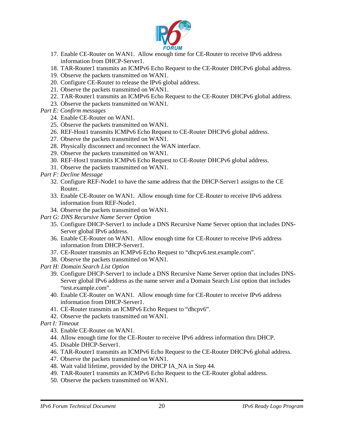

- 17. Enable CE-Router on WAN1. Allow enough time for CE-Router to receive IPv6 address information from DHCP-Server1.
- 18. TAR-Router1 transmits an ICMPv6 Echo Request to the CE-Router DHCPv6 global address.
- 19. Observe the packets transmitted on WAN1.
- 20. Configure CE-Router to release the IPv6 global address.
- 21. Observe the packets transmitted on WAN1.
- 22. TAR-Router1 transmits an ICMPv6 Echo Request to the CE-Router DHCPv6 global address.
- 23. Observe the packets transmitted on WAN1.
- *Part E: Confirm messages*
	- 24. Enable CE-Router on WAN1.
	- 25. Observe the packets transmitted on WAN1.
	- 26. REF-Host1 transmits ICMPv6 Echo Request to CE-Router DHCPv6 global address.
	- 27. Observe the packets transmitted on WAN1.
	- 28. Physically disconnect and reconnect the WAN interface.
	- 29. Observe the packets transmitted on WAN1.
	- 30. REF-Host1 transmits ICMPv6 Echo Request to CE-Router DHCPv6 global address.
	- 31. Observe the packets transmitted on WAN1.
- *Part F: Decline Message*
	- 32. Configure REF-Node1 to have the same address that the DHCP-Server1 assigns to the CE Router.
	- 33. Enable CE-Router on WAN1. Allow enough time for CE-Router to receive IPv6 address information from REF-Node1.
	- 34. Observe the packets transmitted on WAN1.
- *Part G: DNS Recursive Name Server Option*
	- 35. Configure DHCP-Server1 to include a DNS Recursive Name Server option that includes DNS-Server global IPv6 address.
	- 36. Enable CE-Router on WAN1. Allow enough time for CE-Router to receive IPv6 address information from DHCP-Server1.
	- 37. CE-Router transmits an ICMPv6 Echo Request to "dhcpv6.test.example.com".
	- 38. Observe the packets transmitted on WAN1.
- *Part H: Domain Search List Option*
	- 39. Configure DHCP-Server1 to include a DNS Recursive Name Server option that includes DNS-Server global IPv6 address as the name server and a Domain Search List option that includes "test.example.com".
	- 40. Enable CE-Router on WAN1. Allow enough time for CE-Router to receive IPv6 address information from DHCP-Server1.
	- 41. CE-Router transmits an ICMPv6 Echo Request to "dhcpv6".
	- 42. Observe the packets transmitted on WAN1.
- *Part I: Timeout*
	- 43. Enable CE-Router on WAN1.
	- 44. Allow enough time for the CE-Router to receive IPv6 address information thru DHCP.
	- 45. Disable DHCP-Server1.
	- 46. TAR-Router1 transmits an ICMPv6 Echo Request to the CE-Router DHCPv6 global address.
	- 47. Observe the packets transmitted on WAN1.
	- 48. Wait valid lifetime, provided by the DHCP IA\_NA in Step 44.
	- 49. TAR-Router1 transmits an ICMPv6 Echo Request to the CE-Router global address.
	- 50. Observe the packets transmitted on WAN1.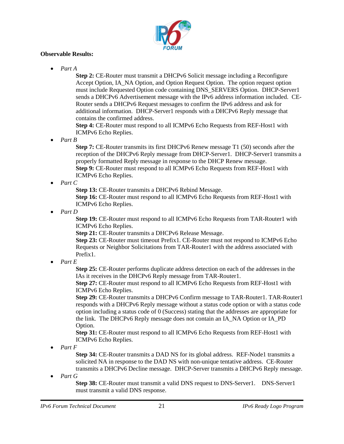

## **Observable Results:**

• *Part A*

**Step 2:** CE-Router must transmit a DHCPv6 Solicit message including a Reconfigure Accept Option, IA\_NA Option, and Option Request Option. The option request option must include Requested Option code containing DNS\_SERVERS Option. DHCP-Server1 sends a DHCPv6 Advertisement message with the IPv6 address information included. CE-Router sends a DHCPv6 Request messages to confirm the IPv6 address and ask for additional information. DHCP-Server1 responds with a DHCPv6 Reply message that contains the confirmed address.

**Step 4:** CE-Router must respond to all ICMPv6 Echo Requests from REF-Host1 with ICMPv6 Echo Replies.

• *Part B*

**Step 7:** CE-Router transmits its first DHCPv6 Renew message T1 (50) seconds after the reception of the DHCPv6 Reply message from DHCP-Server1. DHCP-Server1 transmits a properly formatted Reply message in response to the DHCP Renew message. **Step 9:** CE-Router must respond to all ICMPv6 Echo Requests from REF-Host1 with ICMPv6 Echo Replies.

• *Part C*

**Step 13:** CE-Router transmits a DHCPv6 Rebind Message.

**Step 16:** CE-Router must respond to all ICMPv6 Echo Requests from REF-Host1 with ICMPv6 Echo Replies.

• *Part D*

**Step 19:** CE-Router must respond to all ICMPv6 Echo Requests from TAR-Router1 with ICMPv6 Echo Replies.

**Step 21:** CE-Router transmits a DHCPv6 Release Message.

**Step 23:** CE-Router must timeout Prefix1. CE-Router must not respond to ICMPv6 Echo Requests or Neighbor Solicitations from TAR-Router1 with the address associated with Prefix1.

• *Part E*

**Step 25:** CE-Router performs duplicate address detection on each of the addresses in the IAs it receives in the DHCPv6 Reply message from TAR-Router1.

**Step 27:** CE-Router must respond to all ICMPv6 Echo Requests from REF-Host1 with ICMPv6 Echo Replies.

**Step 29:** CE-Router transmits a DHCPv6 Confirm message to TAR-Router1. TAR-Router1 responds with a DHCPv6 Reply message without a status code option or with a status code option including a status code of 0 (Success) stating that the addresses are appropriate for the link. The DHCPv6 Reply message does not contain an IA\_NA Option or IA\_PD Option.

**Step 31:** CE-Router must respond to all ICMPv6 Echo Requests from REF-Host1 with ICMPv6 Echo Replies.

• *Part F*

**Step 34:** CE-Router transmits a DAD NS for its global address. REF-Node1 transmits a solicited NA in response to the DAD NS with non-unique tentative address. CE-Router transmits a DHCPv6 Decline message. DHCP-Server transmits a DHCPv6 Reply message.

• *Part G*

**Step 38:** CE-Router must transmit a valid DNS request to DNS-Server1. DNS-Server1 must transmit a valid DNS response.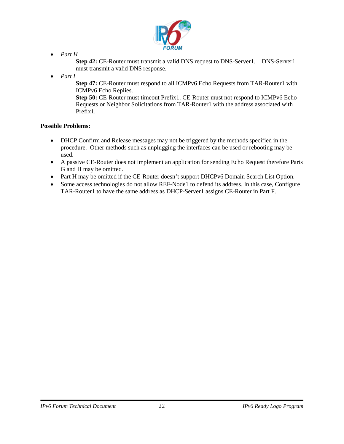

• *Part H*

**Step 42:** CE-Router must transmit a valid DNS request to DNS-Server1. DNS-Server1 must transmit a valid DNS response.

• *Part I*

**Step 47:** CE-Router must respond to all ICMPv6 Echo Requests from TAR-Router1 with ICMPv6 Echo Replies.

**Step 50:** CE-Router must timeout Prefix1. CE-Router must not respond to ICMPv6 Echo Requests or Neighbor Solicitations from TAR-Router1 with the address associated with Prefix1.

#### **Possible Problems:**

- DHCP Confirm and Release messages may not be triggered by the methods specified in the procedure. Other methods such as unplugging the interfaces can be used or rebooting may be used.
- A passive CE-Router does not implement an application for sending Echo Request therefore Parts G and H may be omitted.
- Part H may be omitted if the CE-Router doesn't support DHCPv6 Domain Search List Option.
- Some access technologies do not allow REF-Node1 to defend its address. In this case, Configure TAR-Router1 to have the same address as DHCP-Server1 assigns CE-Router in Part F.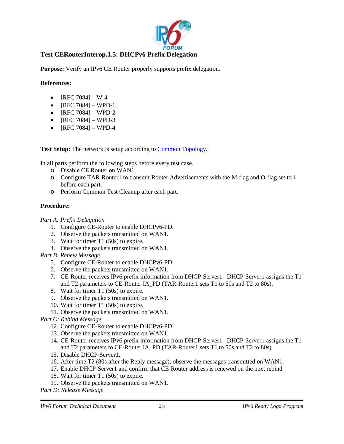

## <span id="page-23-0"></span>**Test CERouterInterop.1.5: DHCPv6 Prefix Delegation**

Purpose: Verify an IPv6 CE Router properly supports prefix delegation.

#### **References:**

- $[RFC 7084] W-4$
- [RFC 7084] WPD-1
- $[RFC 7084] WPD-2$
- [RFC 7084] WPD-3
- [RFC 7084] WPD-4

**Test Setup:** The network is setup according to [Common Topology.](#page-9-0)

In all parts perform the following steps before every test case.

- o Disable CE Router on WAN1.
- o Configure TAR-Router1 to transmit Router Advertisements with the M-flag and O-flag set to 1 before each part.
- o Perform Common Test Cleanup after each part.

#### **Procedure:**

#### *Part A: Prefix Delegation*

- 1. Configure CE-Router to enable DHCPv6-PD.
- 2. Observe the packets transmitted on WAN1.
- 3. Wait for timer T1 (50s) to expire.
- 4. Observe the packets transmitted on WAN1.
- *Part B: Renew Message*
	- 5. Configure CE-Router to enable DHCPv6-PD.
	- 6. Observe the packets transmitted on WAN1.
	- 7. CE-Router receives IPv6 prefix information from DHCP-Server1. DHCP-Server1 assigns the T1 and T2 parameters to CE-Router IA\_PD (TAR-Router1 sets T1 to 50s and T2 to 80s).
	- 8. Wait for timer T1 (50s) to expire.
	- 9. Observe the packets transmitted on WAN1.
	- 10. Wait for timer T1 (50s) to expire.
	- 11. Observe the packets transmitted on WAN1.
- *Part C: Rebind Message*
	- 12. Configure CE-Router to enable DHCPv6-PD.
	- 13. Observe the packets transmitted on WAN1.
	- 14. CE-Router receives IPv6 prefix information from DHCP-Server1. DHCP-Server1 assigns the T1 and T2 parameters to CE-Router IA\_PD (TAR-Router1 sets T1 to 50s and T2 to 80s).
	- 15. Disable DHCP-Server1.
	- 16. After time T2 (80s after the Reply message), observe the messages transmitted on WAN1.
	- 17. Enable DHCP-Server1 and confirm that CE-Router address is renewed on the next rebind
	- 18. Wait for timer T1 (50s) to expire.
	- 19. Observe the packets transmitted on WAN1.

*Part D: Release Message*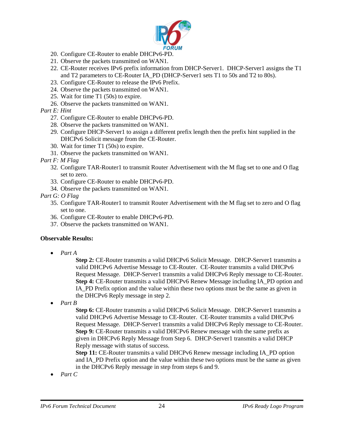

- 20. Configure CE-Router to enable DHCPv6-PD.
- 21. Observe the packets transmitted on WAN1.
- 22. CE-Router receives IPv6 prefix information from DHCP-Server1. DHCP-Server1 assigns the T1 and T2 parameters to CE-Router IA PD (DHCP-Server1 sets T1 to 50s and T2 to 80s).
- 23. Configure CE-Router to release the IPv6 Prefix.
- 24. Observe the packets transmitted on WAN1.
- 25. Wait for time T1 (50s) to expire.
- 26. Observe the packets transmitted on WAN1.

#### *Part E: Hint*

- 27. Configure CE-Router to enable DHCPv6-PD.
- 28. Observe the packets transmitted on WAN1.
- 29. Configure DHCP-Server1 to assign a different prefix length then the prefix hint supplied in the DHCPv6 Solicit message from the CE-Router.
- 30. Wait for timer T1 (50s) to expire.
- 31. Observe the packets transmitted on WAN1.

#### *Part F: M Flag*

- 32. Configure TAR-Router1 to transmit Router Advertisement with the M flag set to one and O flag set to zero.
- 33. Configure CE-Router to enable DHCPv6-PD.
- 34. Observe the packets transmitted on WAN1.

#### *Part G: O Flag*

- 35. Configure TAR-Router1 to transmit Router Advertisement with the M flag set to zero and O flag set to one.
- 36. Configure CE-Router to enable DHCPv6-PD.
- 37. Observe the packets transmitted on WAN1.

#### **Observable Results:**

• *Part A*

**Step 2:** CE-Router transmits a valid DHCPv6 Solicit Message. DHCP-Server1 transmits a valid DHCPv6 Advertise Message to CE-Router. CE-Router transmits a valid DHCPv6 Request Message. DHCP-Server1 transmits a valid DHCPv6 Reply message to CE-Router. **Step 4:** CE-Router transmits a valid DHCPv6 Renew Message including IA\_PD option and IA PD Prefix option and the value within these two options must be the same as given in the DHCPv6 Reply message in step 2.

• *Part B*

**Step 6:** CE-Router transmits a valid DHCPv6 Solicit Message. DHCP-Server1 transmits a valid DHCPv6 Advertise Message to CE-Router. CE-Router transmits a valid DHCPv6 Request Message. DHCP-Server1 transmits a valid DHCPv6 Reply message to CE-Router. **Step 9:** CE-Router transmits a valid DHCPv6 Renew message with the same prefix as given in DHCPv6 Reply Message from Step 6. DHCP-Server1 transmits a valid DHCP Reply message with status of success.

**Step 11:** CE-Router transmits a valid DHCPv6 Renew message including IA\_PD option and IA\_PD Prefix option and the value within these two options must be the same as given in the DHCPv6 Reply message in step from steps 6 and 9.

• *Part C*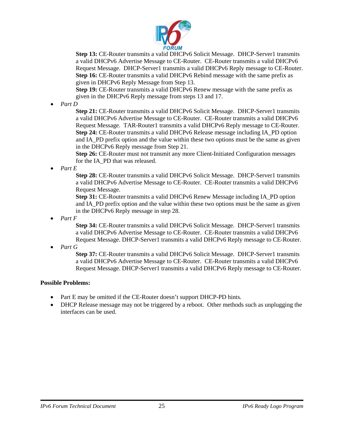

**Step 13:** CE-Router transmits a valid DHCPv6 Solicit Message. DHCP-Server1 transmits a valid DHCPv6 Advertise Message to CE-Router. CE-Router transmits a valid DHCPv6 Request Message. DHCP-Server1 transmits a valid DHCPv6 Reply message to CE-Router. **Step 16:** CE-Router transmits a valid DHCPv6 Rebind message with the same prefix as given in DHCPv6 Reply Message from Step 13.

**Step 19:** CE-Router transmits a valid DHCPv6 Renew message with the same prefix as given in the DHCPv6 Reply message from steps 13 and 17.

• *Part D*

**Step 21:** CE-Router transmits a valid DHCPv6 Solicit Message. DHCP-Server1 transmits a valid DHCPv6 Advertise Message to CE-Router. CE-Router transmits a valid DHCPv6 Request Message. TAR-Router1 transmits a valid DHCPv6 Reply message to CE-Router. **Step 24:** CE-Router transmits a valid DHCPv6 Release message including IA\_PD option and IA\_PD prefix option and the value within these two options must be the same as given in the DHCPv6 Reply message from Step 21.

**Step 26:** CE-Router must not transmit any more Client-Initiated Configuration messages for the IA\_PD that was released.

• *Part E*

**Step 28:** CE-Router transmits a valid DHCPv6 Solicit Message. DHCP-Server1 transmits a valid DHCPv6 Advertise Message to CE-Router. CE-Router transmits a valid DHCPv6 Request Message.

**Step 31:** CE-Router transmits a valid DHCPv6 Renew Message including IA\_PD option and IA\_PD prefix option and the value within these two options must be the same as given in the DHCPv6 Reply message in step 28.

• *Part F*

**Step 34:** CE-Router transmits a valid DHCPv6 Solicit Message. DHCP-Server1 transmits a valid DHCPv6 Advertise Message to CE-Router. CE-Router transmits a valid DHCPv6 Request Message. DHCP-Server1 transmits a valid DHCPv6 Reply message to CE-Router.

• *Part G*

**Step 37:** CE-Router transmits a valid DHCPv6 Solicit Message. DHCP-Server1 transmits a valid DHCPv6 Advertise Message to CE-Router. CE-Router transmits a valid DHCPv6 Request Message. DHCP-Server1 transmits a valid DHCPv6 Reply message to CE-Router.

#### **Possible Problems:**

- Part E may be omitted if the CE-Router doesn't support DHCP-PD hints.
- DHCP Release message may not be triggered by a reboot. Other methods such as unplugging the interfaces can be used.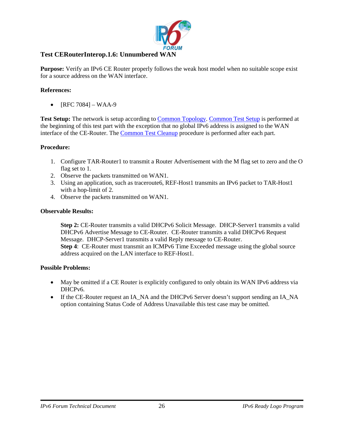

## <span id="page-26-0"></span>**Test CERouterInterop.1.6: Unnumbered WAN**

**Purpose:** Verify an IPv6 CE Router properly follows the weak host model when no suitable scope exist for a source address on the WAN interface.

#### **References:**

• [RFC 7084] – WAA-9

Test Setup: The network is setup according to [Common Topology.](#page-9-0) [Common Test Setup](#page-11-0) is performed at the beginning of this test part with the exception that no global IPv6 address is assigned to the WAN interface of the CE-Router. The [Common Test Cleanup](#page-11-1) procedure is performed after each part.

#### **Procedure:**

- 1. Configure TAR-Router1 to transmit a Router Advertisement with the M flag set to zero and the O flag set to 1.
- 2. Observe the packets transmitted on WAN1.
- 3. Using an application, such as traceroute6, REF-Host1 transmits an IPv6 packet to TAR-Host1 with a hop-limit of 2.
- 4. Observe the packets transmitted on WAN1.

#### **Observable Results:**

**Step 2:** CE-Router transmits a valid DHCPv6 Solicit Message. DHCP-Server1 transmits a valid DHCPv6 Advertise Message to CE-Router. CE-Router transmits a valid DHCPv6 Request Message. DHCP-Server1 transmits a valid Reply message to CE-Router. **Step 4**: CE-Router must transmit an ICMPv6 Time Exceeded message using the global source address acquired on the LAN interface to REF-Host1.

#### **Possible Problems:**

- May be omitted if a CE Router is explicitly configured to only obtain its WAN IPv6 address via DHCPv6.
- If the CE-Router request an IA NA and the DHCPv6 Server doesn't support sending an IA NA option containing Status Code of Address Unavailable this test case may be omitted.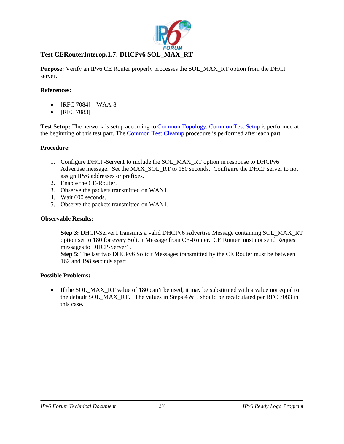

<span id="page-27-0"></span>**Purpose:** Verify an IPv6 CE Router properly processes the SOL\_MAX\_RT option from the DHCP server.

#### **References:**

- [RFC 7084] WAA-8
- [RFC 7083]

Test Setup: The network is setup according to [Common Topology.](#page-9-0) [Common Test Setup](#page-11-0) is performed at the beginning of this test part. The [Common Test Cleanup](#page-11-1) procedure is performed after each part.

#### **Procedure:**

- 1. Configure DHCP-Server1 to include the SOL\_MAX\_RT option in response to DHCPv6 Advertise message. Set the MAX\_SOL\_RT to 180 seconds. Configure the DHCP server to not assign IPv6 addresses or prefixes.
- 2. Enable the CE-Router.
- 3. Observe the packets transmitted on WAN1.
- 4. Wait 600 seconds.
- 5. Observe the packets transmitted on WAN1.

#### **Observable Results:**

**Step 3:** DHCP-Server1 transmits a valid DHCPv6 Advertise Message containing SOL\_MAX\_RT option set to 180 for every Solicit Message from CE-Router. CE Router must not send Request messages to DHCP-Server1.

**Step 5**: The last two DHCPv6 Solicit Messages transmitted by the CE Router must be between 162 and 198 seconds apart.

#### **Possible Problems:**

• If the SOL\_MAX\_RT value of 180 can't be used, it may be substituted with a value not equal to the default SOL\_MAX\_RT. The values in Steps 4 & 5 should be recalculated per RFC 7083 in this case.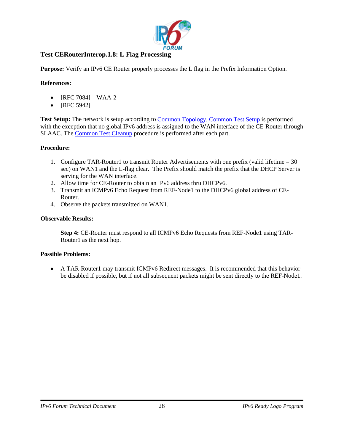

## <span id="page-28-0"></span>**Test CERouterInterop.1.8: L Flag Processing**

**Purpose:** Verify an IPv6 CE Router properly processes the L flag in the Prefix Information Option.

#### **References:**

- [RFC 7084] WAA-2
- [RFC 5942]

**Test Setup:** The network is setup according to [Common Topology.](#page-9-0) [Common Test Setup](#page-11-0) is performed with the exception that no global IPv6 address is assigned to the WAN interface of the CE-Router through SLAAC. The **Common Test Cleanup** procedure is performed after each part.

#### **Procedure:**

- 1. Configure TAR-Router1 to transmit Router Advertisements with one prefix (valid lifetime = 30 sec) on WAN1 and the L-flag clear. The Prefix should match the prefix that the DHCP Server is serving for the WAN interface.
- 2. Allow time for CE-Router to obtain an IPv6 address thru DHCPv6.
- 3. Transmit an ICMPv6 Echo Request from REF-Node1 to the DHCPv6 global address of CE-Router.
- 4. Observe the packets transmitted on WAN1.

#### **Observable Results:**

**Step 4:** CE-Router must respond to all ICMPv6 Echo Requests from REF-Node1 using TAR-Router1 as the next hop.

#### **Possible Problems:**

• A TAR-Router1 may transmit ICMPv6 Redirect messages. It is recommended that this behavior be disabled if possible, but if not all subsequent packets might be sent directly to the REF-Node1.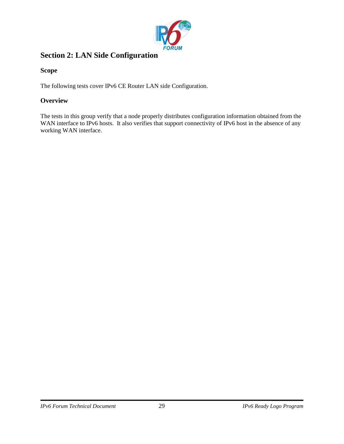

# <span id="page-29-0"></span>**Section 2: LAN Side Configuration**

## **Scope**

The following tests cover IPv6 CE Router LAN side Configuration.

## **Overview**

The tests in this group verify that a node properly distributes configuration information obtained from the WAN interface to IPv6 hosts. It also verifies that support connectivity of IPv6 host in the absence of any working WAN interface.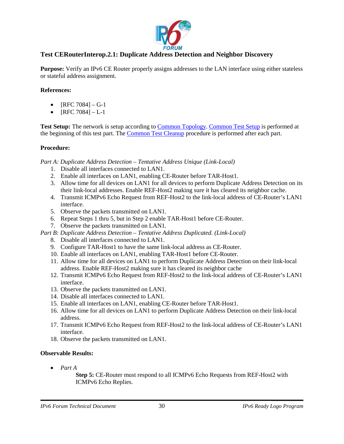

## <span id="page-30-0"></span>**Test CERouterInterop.2.1: Duplicate Address Detection and Neighbor Discovery**

**Purpose:** Verify an IPv6 CE Router properly assigns addresses to the LAN interface using either stateless or stateful address assignment.

#### **References:**

- $[RFC 7084] G-1$
- $[RFC 7084] L-1$

Test Setup: The network is setup according to [Common Topology.](#page-9-0) [Common Test Setup](#page-11-0) is performed at the beginning of this test part. The [Common Test Cleanup](#page-11-1) procedure is performed after each part.

#### **Procedure:**

*Part A: Duplicate Address Detection – Tentative Address Unique (Link-Local)*

- 1. Disable all interfaces connected to LAN1.
- 2. Enable all interfaces on LAN1, enabling CE-Router before TAR-Host1.
- 3. Allow time for all devices on LAN1 for all devices to perform Duplicate Address Detection on its their link-local addresses. Enable REF-Host2 making sure it has cleared its neighbor cache.
- 4. Transmit ICMPv6 Echo Request from REF-Host2 to the link-local address of CE-Router's LAN1 interface.
- 5. Observe the packets transmitted on LAN1.
- 6. Repeat Steps 1 thru 5, but in Step 2 enable TAR-Host1 before CE-Router.
- 7. Observe the packets transmitted on LAN1.
- *Part B: Duplicate Address Detection – Tentative Address Duplicated. (Link-Local)*
	- 8. Disable all interfaces connected to LAN1.
	- 9. Configure TAR-Host1 to have the same link-local address as CE-Router.
	- 10. Enable all interfaces on LAN1, enabling TAR-Host1 before CE-Router.
	- 11. Allow time for all devices on LAN1 to perform Duplicate Address Detection on their link-local address. Enable REF-Host2 making sure it has cleared its neighbor cache
	- 12. Transmit ICMPv6 Echo Request from REF-Host2 to the link-local address of CE-Router's LAN1 interface.
	- 13. Observe the packets transmitted on LAN1.
	- 14. Disable all interfaces connected to LAN1.
	- 15. Enable all interfaces on LAN1, enabling CE-Router before TAR-Host1.
	- 16. Allow time for all devices on LAN1 to perform Duplicate Address Detection on their link-local address.
	- 17. Transmit ICMPv6 Echo Request from REF-Host2 to the link-local address of CE-Router's LAN1 interface.
	- 18. Observe the packets transmitted on LAN1.

#### **Observable Results:**

• *Part A*

**Step 5:** CE-Router must respond to all ICMPv6 Echo Requests from REF-Host2 with ICMPv6 Echo Replies.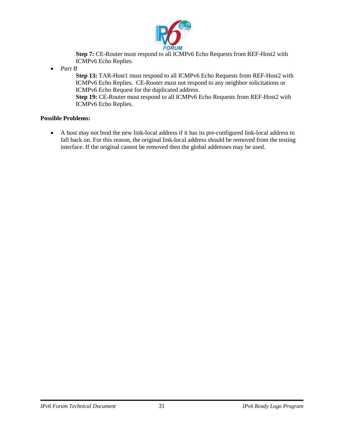

**Step 7:** CE-Router must respond to all ICMPv6 Echo Requests from REF-Host2 with ICMPv6 Echo Replies.

• *Part B*

**Step 13:** TAR-Host1 must respond to all ICMPv6 Echo Requests from REF-Host2 with ICMPv6 Echo Replies. CE-Router must not respond to any neighbor solicitations or ICMPv6 Echo Request for the duplicated address.

**Step 19:** CE-Router must respond to all ICMPv6 Echo Requests from REF-Host2 with ICMPv6 Echo Replies.

#### **Possible Problems:**

• A host may not bind the new link-local address if it has its pre-configured link-local address to fall back on. For this reason, the original link-local address should be removed from the testing interface. If the original cannot be removed then the global addresses may be used.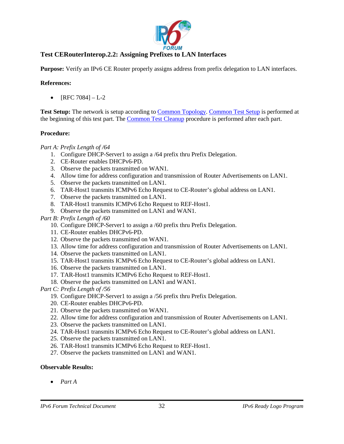

## <span id="page-32-0"></span>**Test CERouterInterop.2.2: Assigning Prefixes to LAN Interfaces**

**Purpose:** Verify an IPv6 CE Router properly assigns address from prefix delegation to LAN interfaces.

#### **References:**

•  $[RFC 7084] - L-2$ 

**Test Setup:** The network is setup according to [Common Topology.](#page-9-0) [Common Test Setup](#page-11-0) is performed at the beginning of this test part. The **Common Test Cleanup** procedure is performed after each part.

#### **Procedure:**

*Part A: Prefix Length of /64*

- 1. Configure DHCP-Server1 to assign a /64 prefix thru Prefix Delegation.
- 2. CE-Router enables DHCPv6-PD.
- 3. Observe the packets transmitted on WAN1.
- 4. Allow time for address configuration and transmission of Router Advertisements on LAN1.
- 5. Observe the packets transmitted on LAN1.
- 6. TAR-Host1 transmits ICMPv6 Echo Request to CE-Router's global address on LAN1.
- 7. Observe the packets transmitted on LAN1.
- 8. TAR-Host1 transmits ICMPv6 Echo Request to REF-Host1.
- 9. Observe the packets transmitted on LAN1 and WAN1.
- *Part B: Prefix Length of /60*
	- 10. Configure DHCP-Server1 to assign a /60 prefix thru Prefix Delegation.
	- 11. CE-Router enables DHCPv6-PD.
	- 12. Observe the packets transmitted on WAN1.
	- 13. Allow time for address configuration and transmission of Router Advertisements on LAN1.
	- 14. Observe the packets transmitted on LAN1.
	- 15. TAR-Host1 transmits ICMPv6 Echo Request to CE-Router's global address on LAN1.
	- 16. Observe the packets transmitted on LAN1.
	- 17. TAR-Host1 transmits ICMPv6 Echo Request to REF-Host1.
	- 18. Observe the packets transmitted on LAN1 and WAN1.

#### *Part C: Prefix Length of /56*

- 19. Configure DHCP-Server1 to assign a /56 prefix thru Prefix Delegation.
- 20. CE-Router enables DHCPv6-PD.
- 21. Observe the packets transmitted on WAN1.
- 22. Allow time for address configuration and transmission of Router Advertisements on LAN1.
- 23. Observe the packets transmitted on LAN1.
- 24. TAR-Host1 transmits ICMPv6 Echo Request to CE-Router's global address on LAN1.
- 25. Observe the packets transmitted on LAN1.
- 26. TAR-Host1 transmits ICMPv6 Echo Request to REF-Host1.
- 27. Observe the packets transmitted on LAN1 and WAN1.

#### **Observable Results:**

• *Part A*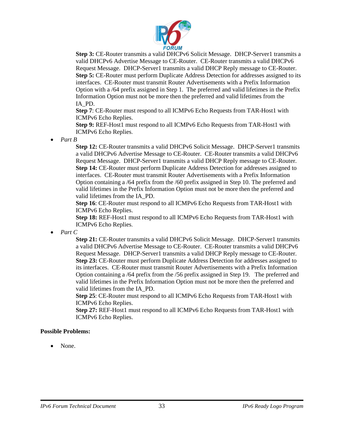

**Step 3:** CE-Router transmits a valid DHCPv6 Solicit Message. DHCP-Server1 transmits a valid DHCPv6 Advertise Message to CE-Router. CE-Router transmits a valid DHCPv6 Request Message. DHCP-Server1 transmits a valid DHCP Reply message to CE-Router. **Step 5:** CE-Router must perform Duplicate Address Detection for addresses assigned to its interfaces. CE-Router must transmit Router Advertisements with a Prefix Information Option with a /64 prefix assigned in Step 1. The preferred and valid lifetimes in the Prefix Information Option must not be more then the preferred and valid lifetimes from the IA\_PD.

**Step 7**: CE-Router must respond to all ICMPv6 Echo Requests from TAR-Host1 with ICMPv6 Echo Replies.

**Step 9:** REF-Host1 must respond to all ICMPv6 Echo Requests from TAR-Host1 with ICMPv6 Echo Replies.

• *Part B*

**Step 12:** CE-Router transmits a valid DHCPv6 Solicit Message. DHCP-Server1 transmits a valid DHCPv6 Advertise Message to CE-Router. CE-Router transmits a valid DHCPv6 Request Message. DHCP-Server1 transmits a valid DHCP Reply message to CE-Router. **Step 14:** CE-Router must perform Duplicate Address Detection for addresses assigned to interfaces. CE-Router must transmit Router Advertisements with a Prefix Information Option containing a /64 prefix from the /60 prefix assigned in Step 10. The preferred and valid lifetimes in the Prefix Information Option must not be more then the preferred and valid lifetimes from the IA\_PD.

**Step 16**: CE-Router must respond to all ICMPv6 Echo Requests from TAR-Host1 with ICMPv6 Echo Replies.

**Step 18:** REF-Host1 must respond to all ICMPv6 Echo Requests from TAR-Host1 with ICMPv6 Echo Replies.

• *Part C*

**Step 21:** CE-Router transmits a valid DHCPv6 Solicit Message. DHCP-Server1 transmits a valid DHCPv6 Advertise Message to CE-Router. CE-Router transmits a valid DHCPv6 Request Message. DHCP-Server1 transmits a valid DHCP Reply message to CE-Router. **Step 23:** CE-Router must perform Duplicate Address Detection for addresses assigned to its interfaces. CE-Router must transmit Router Advertisements with a Prefix Information Option containing a /64 prefix from the /56 prefix assigned in Step 19. The preferred and valid lifetimes in the Prefix Information Option must not be more then the preferred and valid lifetimes from the IA\_PD.

**Step 25**: CE-Router must respond to all ICMPv6 Echo Requests from TAR-Host1 with ICMPv6 Echo Replies.

**Step 27:** REF-Host1 must respond to all ICMPv6 Echo Requests from TAR-Host1 with ICMPv6 Echo Replies.

#### **Possible Problems:**

None.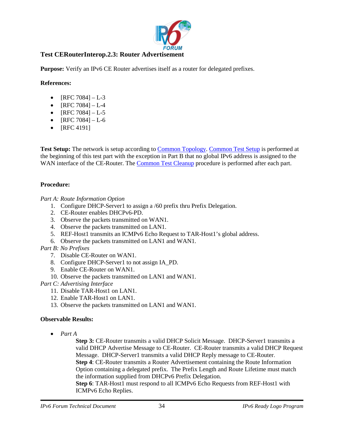

## <span id="page-34-0"></span>**Test CERouterInterop.2.3: Router Advertisement**

**Purpose:** Verify an IPv6 CE Router advertises itself as a router for delegated prefixes.

**References:** 

- $[RFC 7084] L-3$
- $[RFC 7084] L-4$
- $[RFC 7084] L-5$
- $[RFC 7084] L-6$
- [RFC 4191]

**Test Setup:** The network is setup according to [Common Topology.](#page-9-0) [Common Test Setup](#page-11-0) is performed at the beginning of this test part with the exception in Part B that no global IPv6 address is assigned to the WAN interface of the CE-Router. The Common Test Cleanup procedure is performed after each part.

## **Procedure:**

*Part A: Route Information Option*

- 1. Configure DHCP-Server1 to assign a /60 prefix thru Prefix Delegation.
- 2. CE-Router enables DHCPv6-PD.
- 3. Observe the packets transmitted on WAN1.
- 4. Observe the packets transmitted on LAN1.
- 5. REF-Host1 transmits an ICMPv6 Echo Request to TAR-Host1's global address.
- 6. Observe the packets transmitted on LAN1 and WAN1.
- *Part B: No Prefixes*
	- 7. Disable CE-Router on WAN1.
	- 8. Configure DHCP-Server1 to not assign IA\_PD.
	- 9. Enable CE-Router on WAN1.
	- 10. Observe the packets transmitted on LAN1 and WAN1.
- *Part C: Advertising Interface*
	- 11. Disable TAR-Host1 on LAN1.
	- 12. Enable TAR-Host1 on LAN1.
	- 13. Observe the packets transmitted on LAN1 and WAN1.

## **Observable Results:**

• *Part A*

**Step 3:** CE-Router transmits a valid DHCP Solicit Message. DHCP-Server1 transmits a valid DHCP Advertise Message to CE-Router. CE-Router transmits a valid DHCP Request Message. DHCP-Server1 transmits a valid DHCP Reply message to CE-Router. **Step 4**: CE-Router transmits a Router Advertisement containing the Route Information Option containing a delegated prefix. The Prefix Length and Route Lifetime must match the information supplied from DHCPv6 Prefix Delegation.

**Step 6**: TAR-Host1 must respond to all ICMPv6 Echo Requests from REF-Host1 with ICMPv6 Echo Replies.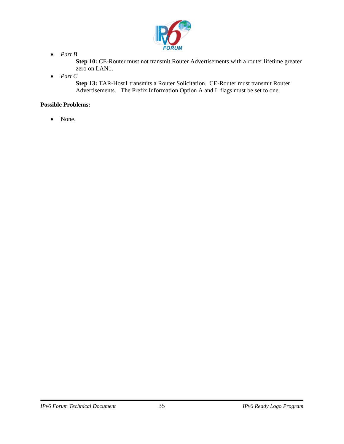

• *Part B*

**Step 10:** CE-Router must not transmit Router Advertisements with a router lifetime greater zero on LAN1.

• *Part C*

**Step 13:** TAR-Host1 transmits a Router Solicitation. CE-Router must transmit Router Advertisements. The Prefix Information Option A and L flags must be set to one.

#### **Possible Problems:**

• None.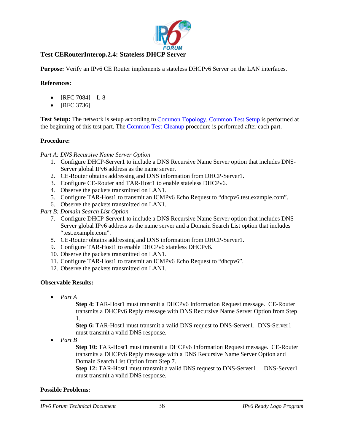

## <span id="page-36-0"></span>**Test CERouterInterop.2.4: Stateless DHCP Server**

**Purpose:** Verify an IPv6 CE Router implements a stateless DHCPv6 Server on the LAN interfaces.

#### **References:**

- $[RFC 7084] L-8$
- [RFC 3736]

**Test Setup:** The network is setup according to [Common Topology.](#page-9-0) [Common Test Setup](#page-11-0) is performed at the beginning of this test part. The **Common Test Cleanup** procedure is performed after each part.

#### **Procedure:**

*Part A: DNS Recursive Name Server Option*

- 1. Configure DHCP-Server1 to include a DNS Recursive Name Server option that includes DNS-Server global IPv6 address as the name server.
- 2. CE-Router obtains addressing and DNS information from DHCP-Server1.
- 3. Configure CE-Router and TAR-Host1 to enable stateless DHCPv6.
- 4. Observe the packets transmitted on LAN1.
- 5. Configure TAR-Host1 to transmit an ICMPv6 Echo Request to "dhcpv6.test.example.com".
- 6. Observe the packets transmitted on LAN1.
- *Part B: Domain Search List Option*
	- 7. Configure DHCP-Server1 to include a DNS Recursive Name Server option that includes DNS-Server global IPv6 address as the name server and a Domain Search List option that includes "test.example.com".
	- 8. CE-Router obtains addressing and DNS information from DHCP-Server1.
	- 9. Configure TAR-Host1 to enable DHCPv6 stateless DHCPv6.
	- 10. Observe the packets transmitted on LAN1.
	- 11. Configure TAR-Host1 to transmit an ICMPv6 Echo Request to "dhcpv6".
	- 12. Observe the packets transmitted on LAN1.

#### **Observable Results:**

• *Part A*

**Step 4:** TAR-Host1 must transmit a DHCPv6 Information Request message. CE-Router transmits a DHCPv6 Reply message with DNS Recursive Name Server Option from Step 1.

**Step 6:** TAR-Host1 must transmit a valid DNS request to DNS-Server1. DNS-Server1 must transmit a valid DNS response.

• *Part B*

**Step 10:** TAR-Host1 must transmit a DHCPv6 Information Request message. CE-Router transmits a DHCPv6 Reply message with a DNS Recursive Name Server Option and Domain Search List Option from Step 7.

**Step 12:** TAR-Host1 must transmit a valid DNS request to DNS-Server1. DNS-Server1 must transmit a valid DNS response.

#### **Possible Problems:**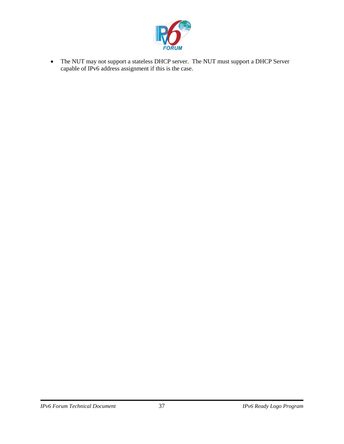

• The NUT may not support a stateless DHCP server. The NUT must support a DHCP Server capable of IPv6 address assignment if this is the case.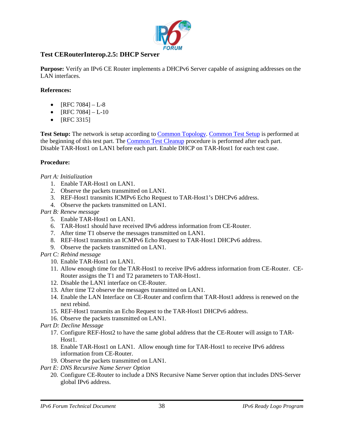

## <span id="page-38-0"></span>**Test CERouterInterop.2.5: DHCP Server**

**Purpose:** Verify an IPv6 CE Router implements a DHCPv6 Server capable of assigning addresses on the LAN interfaces.

#### **References:**

- $[RFC 7084] L-8$
- $[RFC 7084] L-10$
- [RFC 3315]

**Test Setup:** The network is setup according to [Common Topology.](#page-9-0) [Common Test Setup](#page-11-0) is performed at the beginning of this test part. The [Common Test Cleanup](#page-11-1) procedure is performed after each part. Disable TAR-Host1 on LAN1 before each part. Enable DHCP on TAR-Host1 for each test case.

#### **Procedure:**

- *Part A: Initialization*
	- 1. Enable TAR-Host1 on LAN1.
	- 2. Observe the packets transmitted on LAN1.
	- 3. REF-Host1 transmits ICMPv6 Echo Request to TAR-Host1's DHCPv6 address.
	- 4. Observe the packets transmitted on LAN1.
- *Part B: Renew message*
	- 5. Enable TAR-Host1 on LAN1.
	- 6. TAR-Host1 should have received IPv6 address information from CE-Router.
	- 7. After time T1 observe the messages transmitted on LAN1.
	- 8. REF-Host1 transmits an ICMPv6 Echo Request to TAR-Host1 DHCPv6 address.
	- 9. Observe the packets transmitted on LAN1.
- *Part C: Rebind message*
	- 10. Enable TAR-Host1 on LAN1.
	- 11. Allow enough time for the TAR-Host1 to receive IPv6 address information from CE-Router. CE-Router assigns the T1 and T2 parameters to TAR-Host1.
	- 12. Disable the LAN1 interface on CE-Router.
	- 13. After time T2 observe the messages transmitted on LAN1.
	- 14. Enable the LAN Interface on CE-Router and confirm that TAR-Host1 address is renewed on the next rebind.
	- 15. REF-Host1 transmits an Echo Request to the TAR-Host1 DHCPv6 address.
	- 16. Observe the packets transmitted on LAN1.
- *Part D: Decline Message*
	- 17. Configure REF-Host2 to have the same global address that the CE-Router will assign to TAR-Host1.
	- 18. Enable TAR-Host1 on LAN1. Allow enough time for TAR-Host1 to receive IPv6 address information from CE-Router.
	- 19. Observe the packets transmitted on LAN1.
- *Part E: DNS Recursive Name Server Option*
	- 20. Configure CE-Router to include a DNS Recursive Name Server option that includes DNS-Server global IPv6 address.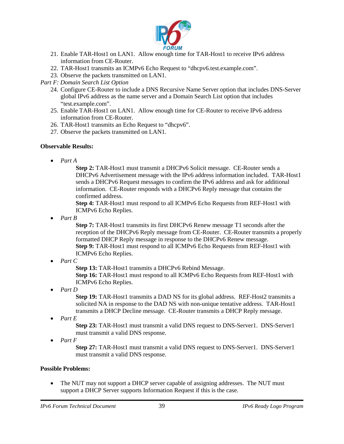

- 21. Enable TAR-Host1 on LAN1. Allow enough time for TAR-Host1 to receive IPv6 address information from CE-Router.
- 22. TAR-Host1 transmits an ICMPv6 Echo Request to "dhcpv6.test.example.com".
- 23. Observe the packets transmitted on LAN1.

*Part F: Domain Search List Option*

- 24. Configure CE-Router to include a DNS Recursive Name Server option that includes DNS-Server global IPv6 address as the name server and a Domain Search List option that includes "test.example.com".
- 25. Enable TAR-Host1 on LAN1. Allow enough time for CE-Router to receive IPv6 address information from CE-Router.
- 26. TAR-Host1 transmits an Echo Request to "dhcpv6".
- 27. Observe the packets transmitted on LAN1.

## **Observable Results:**

• *Part A*

**Step 2:** TAR-Host1 must transmit a DHCPv6 Solicit message. CE-Router sends a DHCPv6 Advertisement message with the IPv6 address information included. TAR-Host1 sends a DHCPv6 Request messages to confirm the IPv6 address and ask for additional information. CE-Router responds with a DHCPv6 Reply message that contains the confirmed address.

**Step 4:** TAR-Host1 must respond to all ICMPv6 Echo Requests from REF-Host1 with ICMPv6 Echo Replies.

• *Part B*

**Step 7:** TAR-Host1 transmits its first DHCPv6 Renew message T1 seconds after the reception of the DHCPv6 Reply message from CE-Router. CE-Router transmits a properly formatted DHCP Reply message in response to the DHCPv6 Renew message. **Step 9:** TAR-Host1 must respond to all ICMPv6 Echo Requests from REF-Host1 with ICMPv6 Echo Replies.

• *Part C*

**Step 13:** TAR-Host1 transmits a DHCPv6 Rebind Message.

**Step 16:** TAR-Host1 must respond to all ICMPv6 Echo Requests from REF-Host1 with ICMPv6 Echo Replies.

• *Part D*

**Step 19:** TAR-Host1 transmits a DAD NS for its global address. REF-Host2 transmits a solicited NA in response to the DAD NS with non-unique tentative address. TAR-Host1 transmits a DHCP Decline message. CE-Router transmits a DHCP Reply message.

• *Part E*

**Step 23:** TAR-Host1 must transmit a valid DNS request to DNS-Server1. DNS-Server1 must transmit a valid DNS response.

• *Part F*

**Step 27:** TAR-Host1 must transmit a valid DNS request to DNS-Server1. DNS-Server1 must transmit a valid DNS response.

## **Possible Problems:**

• The NUT may not support a DHCP server capable of assigning addresses. The NUT must support a DHCP Server supports Information Request if this is the case.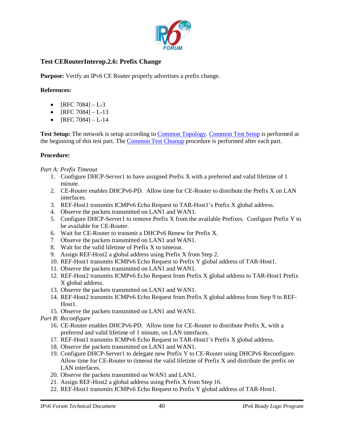

## <span id="page-40-0"></span>**Test CERouterInterop.2.6: Prefix Change**

**Purpose:** Verify an IPv6 CE Router properly advertises a prefix change.

## **References:**

- $[RFC 7084] L-3$
- $[RFC 7084] L-13$
- $[RFC 7084] L-14$

**Test Setup:** The network is setup according to [Common Topology.](#page-9-0) [Common Test Setup](#page-11-0) is performed at the beginning of this test part. The [Common Test Cleanup](#page-11-1) procedure is performed after each part.

## **Procedure:**

*Part A: Prefix Timeout* 

- 1. Configure DHCP-Server1 to have assigned Prefix X with a preferred and valid lifetime of 1 minute.
- 2. CE-Router enables DHCPv6-PD. Allow time for CE-Router to distribute the Prefix X on LAN interfaces.
- 3. REF-Host1 transmits ICMPv6 Echo Request to TAR-Host1's Prefix X global address.
- 4. Observe the packets transmitted on LAN1 and WAN1.
- 5. Configure DHCP-Server1 to remove Prefix X from the available Prefixes. Configure Prefix Y to be available for CE-Router.
- 6. Wait for CE-Router to transmit a DHCPv6 Renew for Prefix X.
- 7. Observe the packets transmitted on LAN1 and WAN1.
- 8. Wait for the valid lifetime of Prefix X to timeout.
- 9. Assign REF-Host2 a global address using Prefix X from Step 2.
- 10. REF-Host1 transmits ICMPv6 Echo Request to Prefix Y global address of TAR-Host1.
- 11. Observe the packets transmitted on LAN1 and WAN1.
- 12. REF-Host2 transmits ICMPv6 Echo Request from Prefix X global address to TAR-Host1 Prefix X global address.
- 13. Observe the packets transmitted on LAN1 and WAN1.
- 14. REF-Host2 transmits ICMPv6 Echo Request from Prefix X global address from Step 9 to REF-Host1.
- 15. Observe the packets transmitted on LAN1 and WAN1.

*Part B: Reconfigure*

- 16. CE-Router enables DHCPv6-PD. Allow time for CE-Router to distribute Prefix X, with a preferred and valid lifetime of 1 minute, on LAN interfaces.
- 17. REF-Host1 transmits ICMPv6 Echo Request to TAR-Host1's Prefix X global address.
- 18. Observe the packets transmitted on LAN1 and WAN1.
- 19. Configure DHCP-Server1 to delegate new Prefix Y to CE-Router using DHCPv6 Reconfigure. Allow time for CE-Router to timeout the valid lifetime of Prefix X and distribute the prefix on LAN interfaces.
- 20. Observe the packets transmitted on WAN1 and LAN1.
- 21. Assign REF-Host2 a global address using Prefix X from Step 16.
- 22. REF-Host1 transmits ICMPv6 Echo Request to Prefix Y global address of TAR-Host1.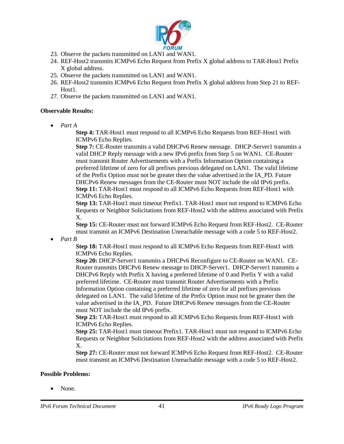

- 23. Observe the packets transmitted on LAN1 and WAN1.
- 24. REF-Host2 transmits ICMPv6 Echo Request from Prefix X global address to TAR-Host1 Prefix X global address.
- 25. Observe the packets transmitted on LAN1 and WAN1.
- 26. REF-Host2 transmits ICMPv6 Echo Request from Prefix X global address from Step 21 to REF-Host1.
- 27. Observe the packets transmitted on LAN1 and WAN1.

#### **Observable Results:**

• *Part A*

**Step 4:** TAR-Host1 must respond to all ICMPv6 Echo Requests from REF-Host1 with ICMPv6 Echo Replies.

**Step 7:** CE-Router transmits a valid DHCPv6 Renew message. DHCP-Server1 transmits a valid DHCP Reply message with a new IPv6 prefix from Step 5 on WAN1. CE-Router must transmit Router Advertisements with a Prefix Information Option containing a preferred lifetime of zero for all prefixes previous delegated on LAN1. The valid lifetime of the Prefix Option must not be greater then the value advertised in the IA\_PD. Future DHCPv6 Renew messages from the CE-Router must NOT include the old IPv6 prefix. **Step 11:** TAR-Host1 must respond to all ICMPv6 Echo Requests from REF-Host1 with ICMPv6 Echo Replies.

**Step 13:** TAR-Host1 must timeout Prefix1. TAR-Host1 must not respond to ICMPv6 Echo Requests or Neighbor Solicitations from REF-Host2 with the address associated with Prefix X.

**Step 15:** CE-Router must not forward ICMPv6 Echo Request from REF-Host2. CE-Router must transmit an ICMPv6 Destination Unreachable message with a code 5 to REF-Host2.

• *Part B* 

**Step 18:** TAR-Host1 must respond to all ICMPv6 Echo Requests from REF-Host1 with ICMPv6 Echo Replies.

**Step 20:** DHCP-Server1 transmits a DHCPv6 Reconfigure to CE-Router on WAN1. CE-Router transmits DHCPv6 Renew message to DHCP-Server1. DHCP-Server1 transmits a DHCPv6 Reply with Prefix X having a preferred lifetime of 0 and Prefix Y with a valid preferred lifetime. CE-Router must transmit Router Advertisements with a Prefix Information Option containing a preferred lifetime of zero for all prefixes previous delegated on LAN1. The valid lifetime of the Prefix Option must not be greater then the value advertised in the IA\_PD. Future DHCPv6 Renew messages from the CE-Router must NOT include the old IPv6 prefix.

**Step 23:** TAR-Host1 must respond to all ICMPv6 Echo Requests from REF-Host1 with ICMPv6 Echo Replies.

**Step 25:** TAR-Host1 must timeout Prefix1. TAR-Host1 must not respond to ICMPv6 Echo Requests or Neighbor Solicitations from REF-Host2 with the address associated with Prefix X.

**Step 27:** CE-Router must not forward ICMPv6 Echo Request from REF-Host2. CE-Router must transmit an ICMPv6 Destination Unreachable message with a code 5 to REF-Host2.

#### **Possible Problems:**

None.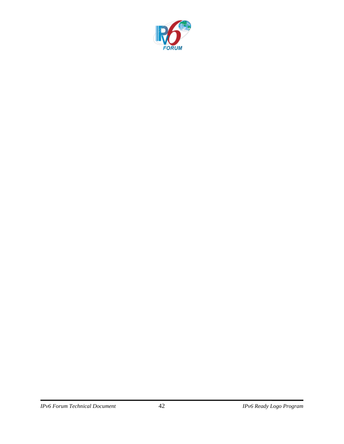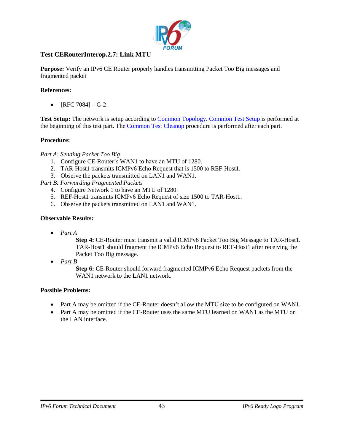

## <span id="page-43-0"></span>**Test CERouterInterop.2.7: Link MTU**

**Purpose:** Verify an IPv6 CE Router properly handles transmitting Packet Too Big messages and fragmented packet

#### **References:**

•  $[RFC 7084] - G-2$ 

Test Setup: The network is setup according to **Common Topology**. [Common Test Setup](#page-11-0) is performed at the beginning of this test part. The [Common Test Cleanup](#page-11-1) procedure is performed after each part.

#### **Procedure:**

*Part A: Sending Packet Too Big* 

- 1. Configure CE-Router's WAN1 to have an MTU of 1280.
- 2. TAR-Host1 transmits ICMPv6 Echo Request that is 1500 to REF-Host1.
- 3. Observe the packets transmitted on LAN1 and WAN1.

*Part B: Forwarding Fragmented Packets*

- 4. Configure Network 1 to have an MTU of 1280.
- 5. REF-Host1 transmits ICMPv6 Echo Request of size 1500 to TAR-Host1.
- 6. Observe the packets transmitted on LAN1 and WAN1.

#### **Observable Results:**

• *Part A*

**Step 4:** CE-Router must transmit a valid ICMPv6 Packet Too Big Message to TAR-Host1. TAR-Host1 should fragment the ICMPv6 Echo Request to REF-Host1 after receiving the Packet Too Big message.

• *Part B*

**Step 6:** CE-Router should forward fragmented ICMPv6 Echo Request packets from the WAN1 network to the LAN1 network.

#### **Possible Problems:**

- Part A may be omitted if the CE-Router doesn't allow the MTU size to be configured on WAN1.
- Part A may be omitted if the CE-Router uses the same MTU learned on WAN1 as the MTU on the LAN interface.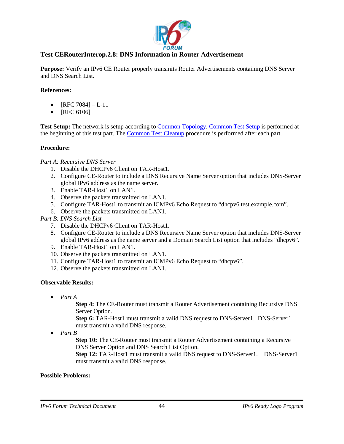

## <span id="page-44-0"></span>**Test CERouterInterop.2.8: DNS Information in Router Advertisement**

**Purpose:** Verify an IPv6 CE Router properly transmits Router Advertisements containing DNS Server and DNS Search List.

#### **References:**

- $[RFC 7084] L-11$
- [RFC 6106]

**Test Setup:** The network is setup according to [Common Topology.](#page-9-0) [Common Test Setup](#page-11-0) is performed at the beginning of this test part. The [Common Test Cleanup](#page-11-1) procedure is performed after each part.

#### **Procedure:**

*Part A: Recursive DNS Server*

- 1. Disable the DHCPv6 Client on TAR-Host1.
- 2. Configure CE-Router to include a DNS Recursive Name Server option that includes DNS-Server global IPv6 address as the name server.
- 3. Enable TAR-Host1 on LAN1.
- 4. Observe the packets transmitted on LAN1.
- 5. Configure TAR-Host1 to transmit an ICMPv6 Echo Request to "dhcpv6.test.example.com".
- 6. Observe the packets transmitted on LAN1.
- *Part B: DNS Search List*
	- 7. Disable the DHCPv6 Client on TAR-Host1.
	- 8. Configure CE-Router to include a DNS Recursive Name Server option that includes DNS-Server global IPv6 address as the name server and a Domain Search List option that includes "dhcpv6".
	- 9. Enable TAR-Host1 on LAN1.
	- 10. Observe the packets transmitted on LAN1.
	- 11. Configure TAR-Host1 to transmit an ICMPv6 Echo Request to "dhcpv6".
	- 12. Observe the packets transmitted on LAN1.

#### **Observable Results:**

• *Part A*

**Step 4:** The CE-Router must transmit a Router Advertisement containing Recursive DNS Server Option.

**Step 6:** TAR-Host1 must transmit a valid DNS request to DNS-Server1. DNS-Server1 must transmit a valid DNS response.

• *Part B*

**Step 10:** The CE-Router must transmit a Router Advertisement containing a Recursive DNS Server Option and DNS Search List Option.

**Step 12:** TAR-Host1 must transmit a valid DNS request to DNS-Server1. DNS-Server1 must transmit a valid DNS response.

#### **Possible Problems:**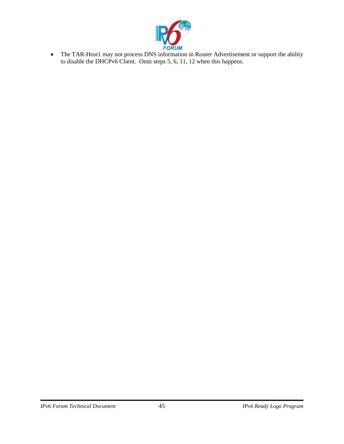

• The TAR-Host1 may not process DNS information in Router Advertisement or support the ability to disable the DHCPv6 Client. Omit steps 5, 6, 11, 12 when this happens.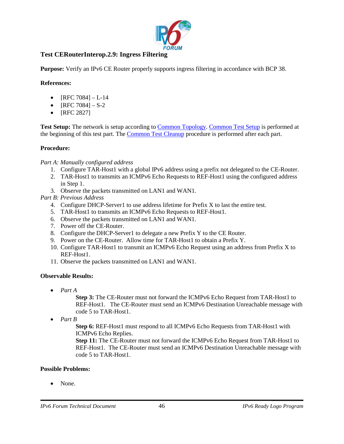

## <span id="page-46-0"></span>**Test CERouterInterop.2.9: Ingress Filtering**

**Purpose:** Verify an IPv6 CE Router properly supports ingress filtering in accordance with BCP 38.

#### **References:**

- $[RFC 7084] L-14$
- $[RFC 7084] S-2$
- [RFC 2827]

**Test Setup:** The network is setup according to [Common Topology.](#page-9-0) [Common Test Setup](#page-11-0) is performed at the beginning of this test part. The [Common Test Cleanup](#page-11-1) procedure is performed after each part.

#### **Procedure:**

*Part A: Manually configured address*

- 1. Configure TAR-Host1 with a global IPv6 address using a prefix not delegated to the CE-Router.
- 2. TAR-Host1 to transmits an ICMPv6 Echo Requests to REF-Host1 using the configured address in Step 1.
- 3. Observe the packets transmitted on LAN1 and WAN1.

## *Part B: Previous Address*

- 4. Configure DHCP-Server1 to use address lifetime for Prefix X to last the entire test.
- 5. TAR-Host1 to transmits an ICMPv6 Echo Requests to REF-Host1.
- 6. Observe the packets transmitted on LAN1 and WAN1.
- 7. Power off the CE-Router.
- 8. Configure the DHCP-Server1 to delegate a new Prefix Y to the CE Router.
- 9. Power on the CE-Router. Allow time for TAR-Host1 to obtain a Prefix Y.
- 10. Configure TAR-Host1 to transmit an ICMPv6 Echo Request using an address from Prefix X to REF-Host1.
- 11. Observe the packets transmitted on LAN1 and WAN1.

#### **Observable Results:**

• *Part A*

**Step 3:** The CE-Router must not forward the ICMPv6 Echo Request from TAR-Host1 to REF-Host1. The CE-Router must send an ICMPv6 Destination Unreachable message with code 5 to TAR-Host1.

• *Part B*

**Step 6:** REF-Host1 must respond to all ICMPv6 Echo Requests from TAR-Host1 with ICMPv6 Echo Replies.

**Step 11:** The CE-Router must not forward the ICMPv6 Echo Request from TAR-Host1 to REF-Host1. The CE-Router must send an ICMPv6 Destination Unreachable message with code 5 to TAR-Host1.

#### **Possible Problems:**

• None.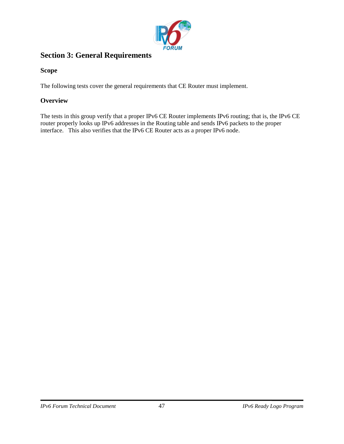

## <span id="page-47-0"></span>**Section 3: General Requirements**

## **Scope**

The following tests cover the general requirements that CE Router must implement.

## **Overview**

The tests in this group verify that a proper IPv6 CE Router implements IPv6 routing; that is, the IPv6 CE router properly looks up IPv6 addresses in the Routing table and sends IPv6 packets to the proper interface. This also verifies that the IPv6 CE Router acts as a proper IPv6 node.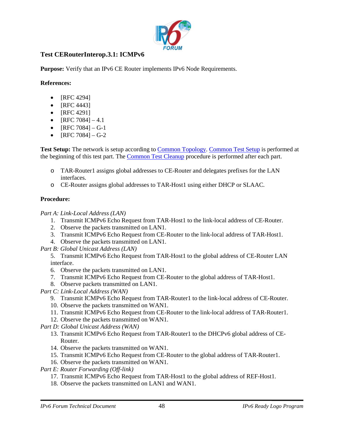

## <span id="page-48-0"></span>**Test CERouterInterop.3.1: ICMPv6**

**Purpose:** Verify that an IPv6 CE Router implements IPv6 Node Requirements.

**References:** 

- [RFC 4294]
- [RFC 4443]
- [RFC 4291]
- $[RFC 7084] 4.1$
- $[RFC 7084] G-1$
- $[RFC 7084] G-2$

**Test Setup:** The network is setup according to [Common Topology.](#page-9-0) [Common Test Setup](#page-11-0) is performed at the beginning of this test part. The [Common Test Cleanup](#page-11-1) procedure is performed after each part.

- o TAR-Router1 assigns global addresses to CE-Router and delegates prefixes for the LAN interfaces.
- o CE-Router assigns global addresses to TAR-Host1 using either DHCP or SLAAC.

## **Procedure:**

*Part A: Link-Local Address (LAN)*

- 1. Transmit ICMPv6 Echo Request from TAR-Host1 to the link-local address of CE-Router.
- 2. Observe the packets transmitted on LAN1.
- 3. Transmit ICMPv6 Echo Request from CE-Router to the link-local address of TAR-Host1.
- 4. Observe the packets transmitted on LAN1.
- *Part B: Global Unicast Address (LAN)*

5. Transmit ICMPv6 Echo Request from TAR-Host1 to the global address of CE-Router LAN interface.

- 6. Observe the packets transmitted on LAN1.
- 7. Transmit ICMPv6 Echo Request from CE-Router to the global address of TAR-Host1.
- 8. Observe packets transmitted on LAN1.
- *Part C: Link-Local Address (WAN)*
	- 9. Transmit ICMPv6 Echo Request from TAR-Router1 to the link-local address of CE-Router.
	- 10. Observe the packets transmitted on WAN1.
	- 11. Transmit ICMPv6 Echo Request from CE-Router to the link-local address of TAR-Router1.
	- 12. Observe the packets transmitted on WAN1.
- *Part D: Global Unicast Address (WAN)*
	- 13. Transmit ICMPv6 Echo Request from TAR-Router1 to the DHCPv6 global address of CE-Router.
	- 14. Observe the packets transmitted on WAN1.
	- 15. Transmit ICMPv6 Echo Request from CE-Router to the global address of TAR-Router1.
	- 16. Observe the packets transmitted on WAN1.
- *Part E: Router Forwarding (Off-link)*
	- 17. Transmit ICMPv6 Echo Request from TAR-Host1 to the global address of REF-Host1.
	- 18. Observe the packets transmitted on LAN1 and WAN1.

*IPv6 Forum Technical Document* 48 *IPv6 Ready Logo Program*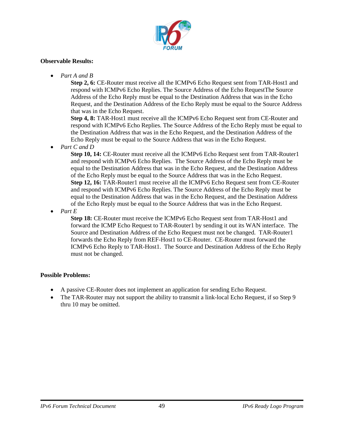

#### **Observable Results:**

• *Part A and B*

**Step 2, 6:** CE-Router must receive all the ICMPv6 Echo Request sent from TAR-Host1 and respond with ICMPv6 Echo Replies. The Source Address of the Echo RequestThe Source Address of the Echo Reply must be equal to the Destination Address that was in the Echo Request, and the Destination Address of the Echo Reply must be equal to the Source Address that was in the Echo Request.

**Step 4, 8:** TAR-Host1 must receive all the ICMPv6 Echo Request sent from CE-Router and respond with ICMPv6 Echo Replies. The Source Address of the Echo Reply must be equal to the Destination Address that was in the Echo Request, and the Destination Address of the Echo Reply must be equal to the Source Address that was in the Echo Request.

• *Part C and D*

**Step 10, 14:** CE-Router must receive all the ICMPv6 Echo Request sent from TAR-Router1 and respond with ICMPv6 Echo Replies. The Source Address of the Echo Reply must be equal to the Destination Address that was in the Echo Request, and the Destination Address of the Echo Reply must be equal to the Source Address that was in the Echo Request. **Step 12, 16:** TAR-Router1 must receive all the ICMPv6 Echo Request sent from CE-Router and respond with ICMPv6 Echo Replies. The Source Address of the Echo Reply must be equal to the Destination Address that was in the Echo Request, and the Destination Address of the Echo Reply must be equal to the Source Address that was in the Echo Request.

• *Part E*

**Step 18:** CE-Router must receive the ICMPv6 Echo Request sent from TAR-Host1 and forward the ICMP Echo Request to TAR-Router1 by sending it out its WAN interface. The Source and Destination Address of the Echo Request must not be changed. TAR-Router1 forwards the Echo Reply from REF-Host1 to CE-Router. CE-Router must forward the ICMPv6 Echo Reply to TAR-Host1. The Source and Destination Address of the Echo Reply must not be changed.

#### **Possible Problems:**

- A passive CE-Router does not implement an application for sending Echo Request.
- The TAR-Router may not support the ability to transmit a link-local Echo Request, if so Step 9 thru 10 may be omitted.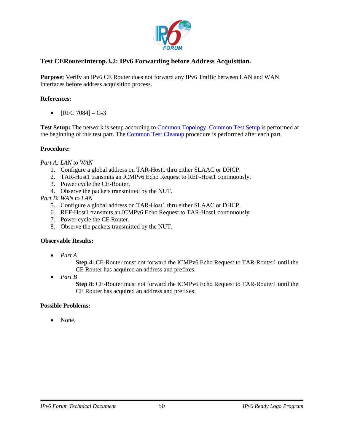

## <span id="page-50-0"></span>**Test CERouterInterop.3.2: IPv6 Forwarding before Address Acquisition.**

**Purpose:** Verify an IPv6 CE Router does not forward any IPv6 Traffic between LAN and WAN interfaces before address acquisition process.

#### **References:**

•  $[RFC 7084] - G-3$ 

**Test Setup:** The network is setup according to [Common Topology.](#page-9-0) [Common Test Setup](#page-11-0) is performed at the beginning of this test part. The [Common Test Cleanup](#page-11-1) procedure is performed after each part.

#### **Procedure:**

*Part A: LAN to WAN*

- 1. Configure a global address on TAR-Host1 thru either SLAAC or DHCP.
- 2. TAR-Host1 transmits an ICMPv6 Echo Request to REF-Host1 continuously.
- 3. Power cycle the CE-Router.
- 4. Observe the packets transmitted by the NUT.

*Part B: WAN to LAN*

- 5. Configure a global address on TAR-Host1 thru either SLAAC or DHCP.
- 6. REF-Host1 transmits an ICMPv6 Echo Request to TAR-Host1 continuously.
- 7. Power cycle the CE Router.
- 8. Observe the packets transmitted by the NUT.

#### **Observable Results:**

• *Part A*

**Step 4:** CE-Router must not forward the ICMPv6 Echo Request to TAR-Router1 until the CE Router has acquired an address and prefixes.

• *Part B*

**Step 8:** CE-Router must not forward the ICMPv6 Echo Request to TAR-Router1 until the CE Router has acquired an address and prefixes.

#### **Possible Problems:**

• None.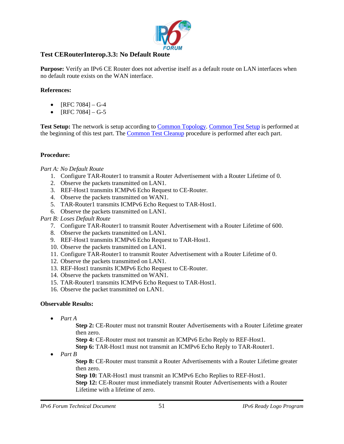

## <span id="page-51-0"></span>**Test CERouterInterop.3.3: No Default Route**

**Purpose:** Verify an IPv6 CE Router does not advertise itself as a default route on LAN interfaces when no default route exists on the WAN interface.

#### **References:**

- $[RFC 7084] G-4$
- $[RFC 7084] G-5$

Test Setup: The network is setup according to **Common Topology**. [Common Test Setup](#page-11-0) is performed at the beginning of this test part. The [Common Test Cleanup](#page-11-1) procedure is performed after each part.

#### **Procedure:**

#### *Part A: No Default Route*

- 1. Configure TAR-Router1 to transmit a Router Advertisement with a Router Lifetime of 0.
- 2. Observe the packets transmitted on LAN1.
- 3. REF-Host1 transmits ICMPv6 Echo Request to CE-Router.
- 4. Observe the packets transmitted on WAN1.
- 5. TAR-Router1 transmits ICMPv6 Echo Request to TAR-Host1.
- 6. Observe the packets transmitted on LAN1.
- *Part B: Loses Default Route*
	- 7. Configure TAR-Router1 to transmit Router Advertisement with a Router Lifetime of 600.
	- 8. Observe the packets transmitted on LAN1.
	- 9. REF-Host1 transmits ICMPv6 Echo Request to TAR-Host1.
	- 10. Observe the packets transmitted on LAN1.
	- 11. Configure TAR-Router1 to transmit Router Advertisement with a Router Lifetime of 0.
	- 12. Observe the packets transmitted on LAN1.
	- 13. REF-Host1 transmits ICMPv6 Echo Request to CE-Router.
	- 14. Observe the packets transmitted on WAN1.
	- 15. TAR-Router1 transmits ICMPv6 Echo Request to TAR-Host1.
	- 16. Observe the packet transmitted on LAN1.

#### **Observable Results:**

• *Part A*

**Step 2:** CE-Router must not transmit Router Advertisements with a Router Lifetime greater then zero.

**Step 4:** CE-Router must not transmit an ICMPv6 Echo Reply to REF-Host1.

**Step 6:** TAR-Host1 must not transmit an ICMPv6 Echo Reply to TAR-Router1.

• *Part B*

**Step 8:** CE-Router must transmit a Router Advertisements with a Router Lifetime greater then zero.

**Step 10:** TAR-Host1 must transmit an ICMPv6 Echo Replies to REF-Host1.

**Step 12:** CE-Router must immediately transmit Router Advertisements with a Router Lifetime with a lifetime of zero.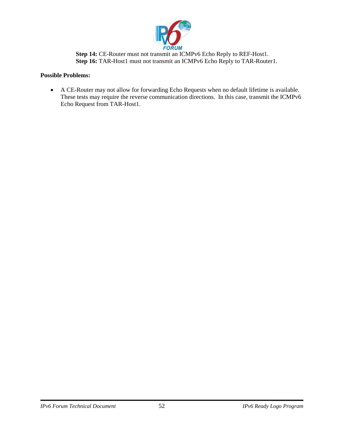

**Step 14:** CE-Router must not transmit an ICMPv6 Echo Reply to REF-Host1. Step 16: TAR-Host1 must not transmit an ICMPv6 Echo Reply to TAR-Router1.

#### **Possible Problems:**

• A CE-Router may not allow for forwarding Echo Requests when no default lifetime is available. These tests may require the reverse communication directions. In this case, transmit the ICMPv6 Echo Request from TAR-Host1.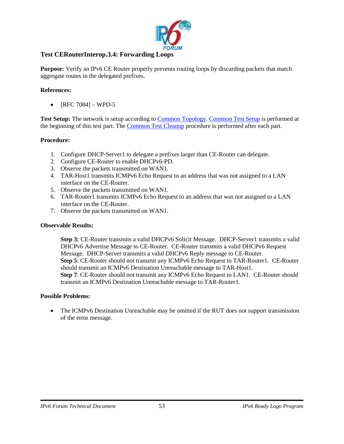

## <span id="page-53-0"></span>**Test CERouterInterop.3.4: Forwarding Loops**

**Purpose:** Verify an IPv6 CE Router properly prevents routing loops by discarding packets that match aggregate routes in the delegated prefixes.

#### **References:**

•  $[RFC 7084] - WPD-5$ 

**Test Setup:** The network is setup according to [Common Topology.](#page-9-0) [Common Test Setup](#page-11-0) is performed at the beginning of this test part. The [Common Test Cleanup](#page-11-1) procedure is performed after each part.

#### **Procedure:**

- 1. Configure DHCP-Server1 to delegate a prefixes larger than CE-Router can delegate.
- 2. Configure CE-Router to enable DHCPv6-PD.
- 3. Observe the packets transmitted on WAN1.
- 4. TAR-Host1 transmits ICMPv6 Echo Request to an address that was not assigned to a LAN interface on the CE-Router.
- 5. Observe the packets transmitted on WAN1.
- 6. TAR-Router1 transmits ICMPv6 Echo Request to an address that was not assigned to a LAN interface on the CE-Router.
- 7. Observe the packets transmitted on WAN1.

#### **Observable Results:**

**Step 3:** CE-Router transmits a valid DHCPv6 Solicit Message. DHCP-Server1 transmits a valid DHCPv6 Advertise Message to CE-Router. CE-Router transmits a valid DHCPv6 Request Message. DHCP-Server transmits a valid DHCPv6 Reply message to CE-Router. **Step 5**: CE-Router should not transmit any ICMPv6 Echo Request to TAR-Router1. CE-Router should transmit an ICMPv6 Destination Unreachable message to TAR-Host1. **Step 7**: CE-Router should not transmit any ICMPv6 Echo Request to LAN1. CE-Router should transmit an ICMPv6 Destination Unreachable message to TAR-Router1.

#### **Possible Problems:**

• The ICMPv6 Destination Unreachable may be omitted if the RUT does not support transmission of the error message.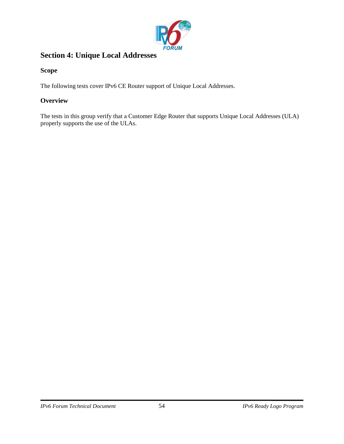

# <span id="page-54-0"></span>**Section 4: Unique Local Addresses**

## **Scope**

The following tests cover IPv6 CE Router support of Unique Local Addresses.

## **Overview**

The tests in this group verify that a Customer Edge Router that supports Unique Local Addresses (ULA) properly supports the use of the ULAs.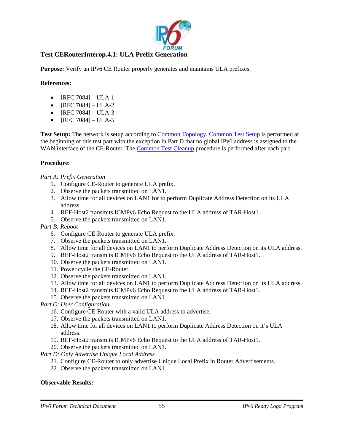

## <span id="page-55-0"></span>**Test CERouterInterop.4.1: ULA Prefix Generation**

**Purpose:** Verify an IPv6 CE Router properly generates and maintains ULA prefixes.

#### **References:**

- $[RFC 7084] ULA-1$
- $[RFC 7084] ULA-2$
- $[RFC 7084] ULA-3$
- [RFC 7084] ULA-5

**Test Setup:** The network is setup according to [Common Topology.](#page-9-0) [Common Test Setup](#page-11-0) is performed at the beginning of this test part with the exception in Part D that no global IPv6 address is assigned to the WAN interface of the CE-Router. The [Common Test Cleanup](#page-11-1) procedure is performed after each part.

#### **Procedure:**

#### *Part A: Prefix Generation*

- 1. Configure CE-Router to generate ULA prefix.
- 2. Observe the packets transmitted on LAN1.
- 3. Allow time for all devices on LAN1 for to perform Duplicate Address Detection on its ULA address.
- 4. REF-Host2 transmits ICMPv6 Echo Request to the ULA address of TAR-Host1.
- 5. Observe the packets transmitted on LAN1.
- *Part B: Reboot*
	- 6. Configure CE-Router to generate ULA prefix.
	- 7. Observe the packets transmitted on LAN1.
	- 8. Allow time for all devices on LAN1 to perform Duplicate Address Detection on its ULA address.
	- 9. REF-Host2 transmits ICMPv6 Echo Request to the ULA address of TAR-Host1.
	- 10. Observe the packets transmitted on LAN1.
	- 11. Power cycle the CE-Router.
	- 12. Observe the packets transmitted on LAN1.
	- 13. Allow time for all devices on LAN1 to perform Duplicate Address Detection on its ULA address.
	- 14. REF-Host2 transmits ICMPv6 Echo Request to the ULA address of TAR-Host1.
	- 15. Observe the packets transmitted on LAN1.
- *Part C: User Configuration*
	- 16. Configure CE-Router with a valid ULA address to advertise.
	- 17. Observe the packets transmitted on LAN1.
	- 18. Allow time for all devices on LAN1 to perform Duplicate Address Detection on it's ULA address.
	- 19. REF-Host2 transmits ICMPv6 Echo Request to the ULA address of TAR-Host1.
	- 20. Observe the packets transmitted on LAN1.
- *Part D: Only Advertise Unique Local Address*
	- 21. Configure CE-Router to only advertise Unique Local Prefix in Router Advertisements.
	- 22. Observe the packets transmitted on LAN1.

#### **Observable Results:**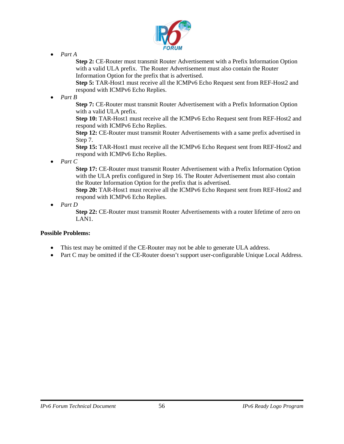

• *Part A*

**Step 2:** CE-Router must transmit Router Advertisement with a Prefix Information Option with a valid ULA prefix. The Router Advertisement must also contain the Router Information Option for the prefix that is advertised.

**Step 5:** TAR-Host1 must receive all the ICMPv6 Echo Request sent from REF-Host2 and respond with ICMPv6 Echo Replies.

• *Part B*

**Step 7:** CE-Router must transmit Router Advertisement with a Prefix Information Option with a valid ULA prefix.

**Step 10:** TAR-Host1 must receive all the ICMPv6 Echo Request sent from REF-Host2 and respond with ICMPv6 Echo Replies.

**Step 12:** CE-Router must transmit Router Advertisements with a same prefix advertised in Step 7.

**Step 15:** TAR-Host1 must receive all the ICMPv6 Echo Request sent from REF-Host2 and respond with ICMPv6 Echo Replies.

• *Part C*

**Step 17:** CE-Router must transmit Router Advertisement with a Prefix Information Option with the ULA prefix configured in Step 16. The Router Advertisement must also contain the Router Information Option for the prefix that is advertised.

**Step 20:** TAR-Host1 must receive all the ICMPv6 Echo Request sent from REF-Host2 and respond with ICMPv6 Echo Replies.

• *Part D*

**Step 22:** CE-Router must transmit Router Advertisements with a router lifetime of zero on LAN1.

#### **Possible Problems:**

- This test may be omitted if the CE-Router may not be able to generate ULA address.
- Part C may be omitted if the CE-Router doesn't support user-configurable Unique Local Address.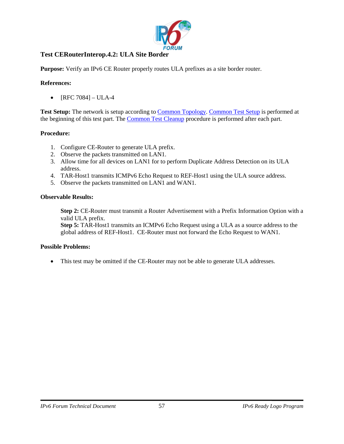

## <span id="page-57-0"></span>**Test CERouterInterop.4.2: ULA Site Border**

**Purpose:** Verify an IPv6 CE Router properly routes ULA prefixes as a site border router.

#### **References:**

• [RFC 7084] – ULA-4

**Test Setup:** The network is setup according to [Common Topology.](#page-9-0) [Common Test Setup](#page-11-0) is performed at the beginning of this test part. The **Common Test Cleanup** procedure is performed after each part.

#### **Procedure:**

- 1. Configure CE-Router to generate ULA prefix.
- 2. Observe the packets transmitted on LAN1.
- 3. Allow time for all devices on LAN1 for to perform Duplicate Address Detection on its ULA address.
- 4. TAR-Host1 transmits ICMPv6 Echo Request to REF-Host1 using the ULA source address.
- 5. Observe the packets transmitted on LAN1 and WAN1.

#### **Observable Results:**

**Step 2:** CE-Router must transmit a Router Advertisement with a Prefix Information Option with a valid ULA prefix.

**Step 5:** TAR-Host1 transmits an ICMPv6 Echo Request using a ULA as a source address to the global address of REF-Host1. CE-Router must not forward the Echo Request to WAN1.

#### **Possible Problems:**

• This test may be omitted if the CE-Router may not be able to generate ULA addresses.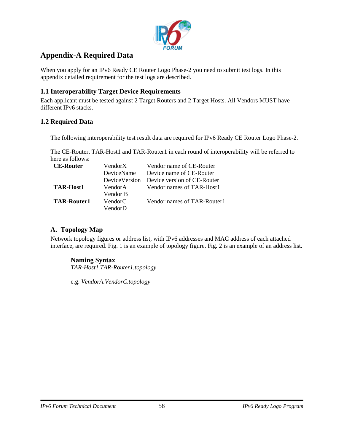

# <span id="page-58-0"></span>**Appendix-A Required Data**

When you apply for an IPv6 Ready CE Router Logo Phase-2 you need to submit test logs. In this appendix detailed requirement for the test logs are described.

## <span id="page-58-1"></span>**1.1 Interoperability Target Device Requirements**

Each applicant must be tested against 2 Target Routers and 2 Target Hosts. All Vendors MUST have different IPv6 stacks.

## <span id="page-58-2"></span>**1.2 Required Data**

The following interoperability test result data are required for IPv6 Ready CE Router Logo Phase-2.

The CE-Router, TAR-Host1 and TAR-Router1 in each round of interoperability will be referred to here as follows:

| <b>CE-Router</b>   | VendorX              | Vendor name of CE-Router    |
|--------------------|----------------------|-----------------------------|
|                    | <b>DeviceName</b>    | Device name of CE-Router    |
|                    | <b>DeviceVersion</b> | Device version of CE-Router |
| <b>TAR-Host1</b>   | VendorA              | Vendor names of TAR-Host1   |
|                    | Vendor B             |                             |
| <b>TAR-Router1</b> | VendorC              | Vendor names of TAR-Router1 |
|                    | VendorD              |                             |

## <span id="page-58-3"></span>**A. Topology Map**

Network topology figures or address list, with IPv6 addresses and MAC address of each attached interface, are required. Fig. 1 is an example of topology figure. Fig. 2 is an example of an address list.

## **Naming Syntax**

*TAR-Host1.TAR-Router1.topology*

e.g. *VendorA.VendorC.topology*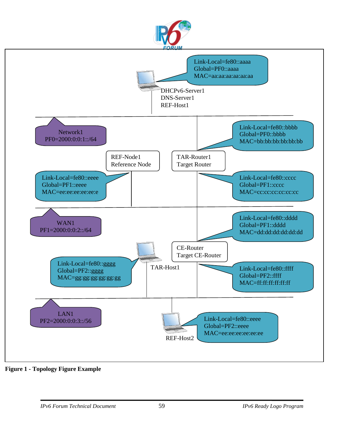

**Figure 1 - Topology Figure Example**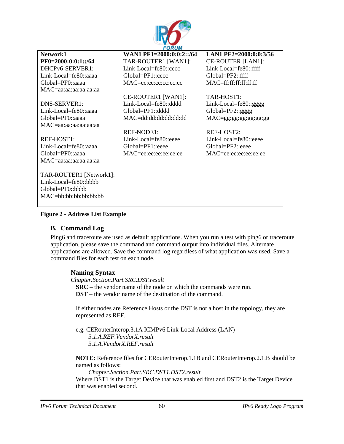

**Network1 PF0=2000:0:0:1::/64** DHCPv6-SERVER1: Link-Local=fe80::aaaa Global=PF0::aaaa MAC=aa:aa:aa:aa:aa:aa

DNS-SERVER1: Link-Local=fe80::aaaa Global=PF0::aaaa MAC=aa:aa:aa:aa:aa:aa

REF-HOST1: Link-Local=fe80::aaaa Global=PF0::aaaa MAC=aa:aa:aa:aa:aa:aa

TAR-ROUTER1 [Network1]: Link-Local=fe80::bbbb Global=PF0::bbbb MAC=bb:bb:bb:bb:bb:bb

**WAN1 PF1=2000:0:0:2::/64** TAR-ROUTER1 [WAN1]: Link-Local=fe80::cccc Global=PF1::cccc MAC=cc:cc:cc:cc:cc:cc

CE-ROUTER1 [WAN1]: Link-Local=fe80::dddd Global=PF1::dddd MAC=dd:dd:dd:dd:dd:dd

REF-NODE1: Link-Local=fe80::eeee Global=PF1::eeee MAC=ee:ee:ee:ee:ee:ee **LAN1 PF2=2000:0:0:3/56** CE-ROUTER [LAN1]: Link-Local=fe80::ffff Global=PF2::ffff MAC=ff:ff:ff:ff:ff:ff

TAR-HOST1: Link-Local=fe80::gggg Global=PF2::gggg MAC=gg:gg:gg:gg:gg:gg

REF-HOST2: Link-Local=fe80::eeee Global=PF2::eeee MAC=ee:ee:ee:ee:ee:ee

## <span id="page-60-0"></span>**Figure 2 - Address List Example**

## **B. Command Log**

Ping6 and traceroute are used as default applications. When you run a test with ping6 or traceroute application, please save the command and command output into individual files. Alternate applications are allowed. Save the command log regardless of what application was used. Save a command files for each test on each node.

## **Naming Syntax**

*Chapter.Section.Part.SRC.DST.result*

**SRC** – the vendor name of the node on which the commands were run.

**DST** – the vendor name of the destination of the command.

If either nodes are Reference Hosts or the DST is not a host in the topology, they are represented as REF.

e.g. CERouterInterop.3.1A ICMPv6 Link-Local Address (LAN)

*3.1.A.REF.VendorX.result*

*3.1.A.VendorX.REF.result*

**NOTE:** Reference files for CERouterInterop.1.1B and CERouterInterop.2.1.B should be named as follows:

*Chapter.Section.Part.SRC.DST1.DST2.result*  Where DST1 is the Target Device that was enabled first and DST2 is the Target Device that was enabled second.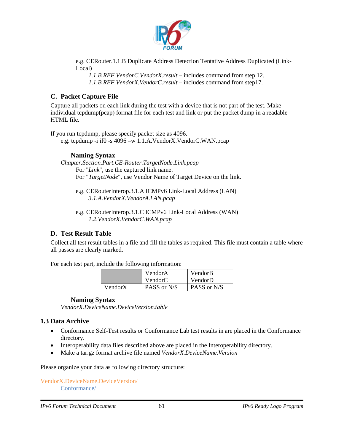

e.g. CERouter.1.1.B Duplicate Address Detection Tentative Address Duplicated (Link-Local)

*1.1.B.REF.VendorC.VendorX.result* – includes command from step 12. *1.1.B.REF.VendorX.VendorC.result –* includes command from step17.

## <span id="page-61-0"></span>**C. Packet Capture File**

Capture all packets on each link during the test with a device that is not part of the test. Make individual tcpdump(pcap) format file for each test and link or put the packet dump in a readable HTML file.

If you run tcpdump, please specify packet size as 4096. e.g. tcpdump -i if0 -s 4096 –w 1.1.A.VendorX.VendorC.WAN.pcap

## **Naming Syntax**

*Chapter.Section.Part.CE-Router.TargetNode.Link.pcap* For "*Link*", use the captured link name. For "*TargetNode*", use Vendor Name of Target Device on the link.

- e.g. CERouterInterop.3.1.A ICMPv6 Link-Local Address (LAN) *3.1.A.VendorX.VendorA.LAN.pcap*
- e.g. CERouterInterop.3.1.C ICMPv6 Link-Local Address (WAN) *1.2.VendorX.VendorC.WAN.pcap*

## <span id="page-61-1"></span>**D. Test Result Table**

Collect all test result tables in a file and fill the tables as required. This file must contain a table where all passes are clearly marked.

For each test part, include the following information:

|         | VendorA     | VendorB     |
|---------|-------------|-------------|
|         | VendorC     | VendorD     |
| VendorX | PASS or N/S | PASS or N/S |

## **Naming Syntax**

*VendorX.DeviceName.DeviceVersion.table*

## <span id="page-61-2"></span>**1.3 Data Archive**

- Conformance Self-Test results or Conformance Lab test results in are placed in the Conformance directory.
- Interoperability data files described above are placed in the Interoperability directory.
- Make a tar.gz format archive file named *VendorX.DeviceName.Version*

Please organize your data as following directory structure:

VendorX.DeviceName.DeviceVersion/ Conformance/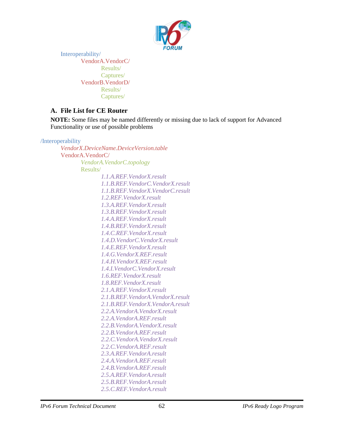

Interoperability/ VendorA.VendorC/ Results/ Captures/ VendorB.VendorD/ Results/ Captures/

## <span id="page-62-0"></span>**A. File List for CE Router**

**NOTE:** Some files may be named differently or missing due to lack of support for Advanced Functionality or use of possible problems

#### /Interoperability

*VendorX.DeviceName.DeviceVersion.table* VendorA.VendorC/ *VendorA.VendorC.topology* Results/ *1.1.A.REF.VendorX.result 1.1.B.REF.VendorC.VendorX.result 1.1.B.REF.VendorX.VendorC.result 1.2.REF.VendorX.result 1.3.A.REF.VendorX.result 1.3.B.REF.VendorX.result 1.4.A.REF.VendorX.result 1.4.B.REF.VendorX.result 1.4.C.REF.VendorX.result 1.4.D.VendorC.VendorX.result 1.4.E.REF.VendorX.result 1.4.G.VendorX.REF.result 1.4.H.VendorX.REF.result 1.4.I.VendorC.VendorX.result 1.6.REF.VendorX.result 1.8.REF.VendorX.result 2.1.A.REF.VendorX.result 2.1.B.REF.VendorA.VendorX.result 2.1.B.REF.VendorX.VendorA.result 2.2.A.VendorA.VendorX.result 2.2.A.VendorA.REF.result 2.2.B.VendorA.VendorX.result 2.2.B.VendorA.REF.result 2.2.C.VendorA.VendorX.result 2.2.C.VendorA.REF.result 2.3.A.REF.VendorA.result 2.4.A.VendorA.REF.result 2.4.B.VendorA.REF.result 2.5.A.REF.VendorA.result 2.5.B.REF.VendorA.result 2.5.C.REF.VendorA.result*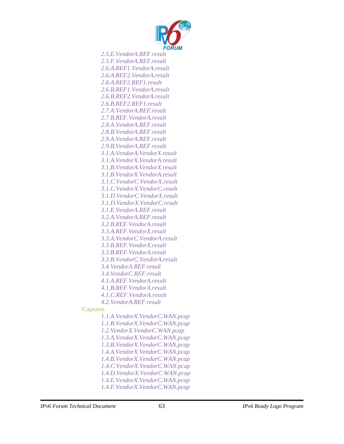

*2.5.E.VendorA.REF.result 2.5.F.VendorA.REF.result 2.6.A.REF1.VendorA.result 2.6.A.REF2.VendorA.result 2.6.A.REF2.REF1.result 2.6.B.REF1.VendorA.result 2.6.B.REF2.VendorA.result 2.6.B.REF2.REF1.result 2.7.A.VendorA.REF.result 2.7.B.REF.VendorA.result 2.8.A.VendorA.REF.result 2.8.B.VendorA.REF.result 2.9.A.VendorA.REF.result 2.9.B.VendorA.REF.result 3.1.A.VendorA.VendorX.result 3.1.A.VendorX.VendorA.result 3.1.B.VendorA.VendorX.result 3.1.B.VendorX.VendorA.result 3.1.C.VendorC.VendorX.result 3.1.C.VendorX.VendorC.result 3.1.D.VendorC.VendorX.result 3.1.D.VendorX.VendorC.result 3.1.E.VendorA.REF.result 3.2.A.VendorA.REF.result 3.2.B.REF.VendorA.result 3.3.A.REF.VendorX.result 3.3.A.VendorC.VendorA.result 3.3.B.REF.VendorX.result 3.3.B.REF.VendorA.result 3.3.B.VendorC.VendorA.result 3.4.VendorA.REF.result 3.4.VendorC.REF.result 4.1.A.REF.VendorA.result 4.1.B.REF.VendorA.result 4.1.C.REF.VendorA.result 4.2.VendorA.REF.result* /Captures *1.1.A.VendorX.VendorC.WAN.pcap 1.1.B.VendorX.VendorC.WAN.pcap 1.2.VendorX.VendorC.WAN.pcap 1.3.A.VendorX.VendorC.WAN.pcap 1.3.B.VendorX.VendorC.WAN.pcap 1.4.A.VendorX.VendorC.WAN.pcap 1.4.B.VendorX.VendorC.WAN.pcap 1.4.C.VendorX.VendorC.WAN.pcap 1.4.D.VendorX.VendorC.WAN.pcap 1.4.E.VendorX.VendorC.WAN.pcap 1.4.F.VendorX.VendorC.WAN.pcap*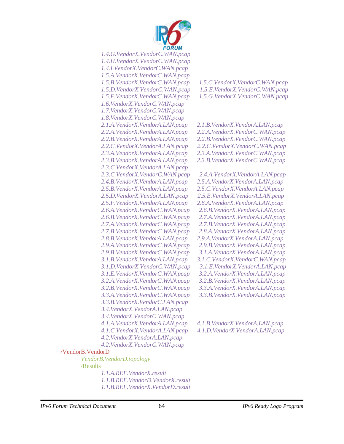

*1.4.G.VendorX.VendorC.WAN.pcap 1.4.H.VendorX.VendorC.WAN.pcap 1.4.I.VendorX.VendorC.WAN.pcap 1.5.A.VendorX.VendorC.WAN.pcap 1.5.B.VendorX.VendorC.WAN.pcap 1.5.C.VendorX.VendorC.WAN.pcap 1.5.D.VendorX.VendorC.WAN.pcap 1.5.E.VendorX.VendorC.WAN.pcap 1.5.F.VendorX.VendorC.WAN.pcap 1.5.G.VendorX.VendorC.WAN.pcap 1.6.VendorX.VendorC.WAN.pcap 1.7.VendorX.VendorC.WAN.pcap 1.8.VendorX.VendorC.WAN.pcap 2.1.A.VendorX.VendorA.LAN.pcap 2.1.B.VendorX.VendorA.LAN.pcap 2.2.A.VendorX.VendorA.LAN.pcap 2.2.A.VendorX.VendorC.WAN.pcap 2.2.B.VendorX.VendorA.LAN.pcap 2.2.B.VendorX.VendorC.WAN.pcap 2.2.C.VendorX.VendorA.LAN.pcap 2.2.C.VendorX.VendorC.WAN.pcap 2.3.A.VendorX.VendorA.LAN.pcap 2.3.A.VendorX.VendorC.WAN.pcap 2.3.B.VendorX.VendorA.LAN.pcap 2.3.B.VendorX.VendorC.WAN.pcap 2.3.C.VendorX.VendorA.LAN.pcap 2.3.C.VendorX.VendorC.WAN.pcap 2.4.A.VendorX.VendorA.LAN.pcap 2.4.B.VendorX.VendorA.LAN.pcap 2.5.A.VendorX.VendorA.LAN.pcap 2.5.B.VendorX.VendorA.LAN.pcap 2.5.C.VendorX.VendorA.LAN.pcap 2.5.D.VendorX.VendorA.LAN.pcap 2.5.E.VendorX.VendorA.LAN.pcap 2.5.F.VendorX.VendorA.LAN.pcap 2.6.A.VendorX.VendorA.LAN.pcap 2.6.A.VendorX.VendorC.WAN.pcap 2.6.B.VendorX.VendorA.LAN.pcap 2.6.B.VendorX.VendorC.WAN.pcap 2.7.A.VendorX.VendorA.LAN.pcap 2.7.A.VendorX.VendorC.WAN.pcap 2.7.B.VendorX.VendorA.LAN.pcap 2.7.B.VendorX.VendorC.WAN.pcap 2.8.A.VendorX.VendorA.LAN.pcap 2.8.B.VendorX.VendorA.LAN.pcap 2.9.A.VendorX.VendorA.LAN.pcap 2.9.A.VendorX.VendorC.WAN.pcap 2.9.B.VendorX.VendorA.LAN.pcap 2.9.B.VendorX.VendorC.WAN.pcap 3.1.A.VendorX.VendorA.LAN.pcap 3.1.B.VendorX.VendorA.LAN.pcap 3.1.C.VendorX.VendorC.WAN.pcap 3.1.D.VendorX.VendorC.WAN.pcap 3.1.E.VendorX.VendorA.LAN.pcap 3.1.E.VendorX.VendorC.WAN.pcap 3.2.A.VendorX.VendorA.LAN.pcap 3.2.A.VendorX.VendorC.WAN.pcap 3.2.B.VendorX.VendorA.LAN.pcap 3.2.B.VendorX.VendorC.WAN.pcap 3.3.A.VendorX.VendorA.LAN.pcap 3.3.A.VendorX.VendorC.WAN.pcap 3.3.B.VendorX.VendorA.LAN.pcap 3.3.B.VendorX.VendorC.LAN.pcap 3.4.VendorX.VendorA.LAN.pcap 3.4.VendorX.VendorC.WAN.pcap 4.1.A.VendorX.VendorA.LAN.pcap 4.1.B.VendorX.VendorA.LAN.pcap 4.1.C.VendorX.VendorA.LAN.pcap 4.1.D.VendorX.VendorA.LAN.pcap 4.2.VendorX.VendorA.LAN.pcap 4.2.VendorX.VendorC.WAN.pcap* /VendorB.VendorD *VendorB.VendorD.topology* /Results *1.1.A.REF.VendorX.result 1.1.B.REF.VendorD.VendorX.result*

*1.1.B.REF.VendorX.VendorD.result*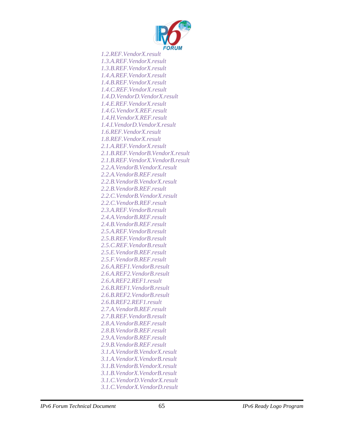

*1.2.REF.VendorX.result 1.3.A.REF.VendorX.result 1.3.B.REF.VendorX.result 1.4.A.REF.VendorX.result 1.4.B.REF.VendorX.result 1.4.C.REF.VendorX.result 1.4.D.VendorD.VendorX.result 1.4.E.REF.VendorX.result 1.4.G.VendorX.REF.result 1.4.H.VendorX.REF.result 1.4.I.VendorD.VendorX.result 1.6.REF.VendorX.result 1.8.REF.VendorX.result 2.1.A.REF.VendorX.result 2.1.B.REF.VendorB.VendorX.result 2.1.B.REF.VendorX.VendorB.result 2.2.A.VendorB.VendorX.result 2.2.A.VendorB.REF.result 2.2.B.VendorB.VendorX.result 2.2.B.VendorB.REF.result 2.2.C.VendorB.VendorX.result 2.2.C.VendorB.REF.result 2.3.A.REF.VendorB.result 2.4.A.VendorB.REF.result 2.4.B.VendorB.REF.result 2.5.A.REF.VendorB.result 2.5.B.REF.VendorB.result 2.5.C.REF.VendorB.result 2.5.E.VendorB.REF.result 2.5.F.VendorB.REF.result 2.6.A.REF1.VendorB.result 2.6.A.REF2.VendorB.result 2.6.A.REF2.REF1.result 2.6.B.REF1.VendorB.result 2.6.B.REF2.VendorB.result 2.6.B.REF2.REF1.result 2.7.A.VendorB.REF.result 2.7.B.REF.VendorB.result 2.8.A.VendorB.REF.result 2.8.B.VendorB.REF.result 2.9.A.VendorB.REF.result 2.9.B.VendorB.REF.result 3.1.A.VendorB.VendorX.result 3.1.A.VendorX.VendorB.result 3.1.B.VendorB.VendorX.result 3.1.B.VendorX.VendorB.result 3.1.C.VendorD.VendorX.result 3.1.C.VendorX.VendorD.result*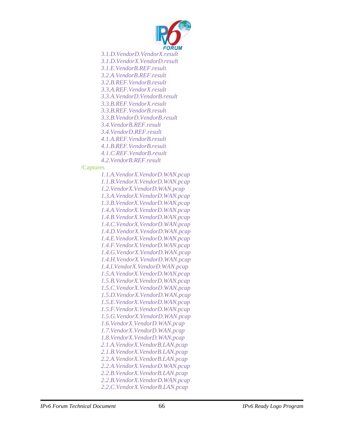

*3.1.D.VendorX.VendorD.result 3.1.E.VendorB.REF.result 3.2.A.VendorB.REF.result 3.2.B.REF.VendorB.result 3.3.A.REF.VendorX.result 3.3.A.VendorD.VendorB.result 3.3.B.REF.VendorX.result 3.3.B.REF.VendorB.result 3.3.B.VendorD.VendorB.result 3.4.VendorB.REF.result 3.4.VendorD.REF.result 4.1.A.REF.VendorB.result 4.1.B.REF.VendorB.result 4.1.C.REF.VendorB.result 4.2.VendorB.REF.result* /Captures *1.1.A.VendorX.VendorD.WAN.pcap 1.1.B.VendorX.VendorD.WAN.pcap 1.2.VendorX.VendorD.WAN.pcap 1.3.A.VendorX.VendorD.WAN.pcap 1.3.B.VendorX.VendorD.WAN.pcap 1.4.A.VendorX.VendorD.WAN.pcap 1.4.B.VendorX.VendorD.WAN.pcap 1.4.C.VendorX.VendorD.WAN.pcap 1.4.D.VendorX.VendorD.WAN.pcap 1.4.E.VendorX.VendorD.WAN.pcap 1.4.F.VendorX.VendorD.WAN.pcap 1.4.G.VendorX.VendorD.WAN.pcap 1.4.H.VendorX.VendorD.WAN.pcap 1.4.I.VendorX.VendorD.WAN.pcap 1.5.A.VendorX.VendorD.WAN.pcap 1.5.B.VendorX.VendorD.WAN.pcap 1.5.C.VendorX.VendorD.WAN.pcap 1.5.D.VendorX.VendorD.WAN.pcap 1.5.E.VendorX.VendorD.WAN.pcap 1.5.F.VendorX.VendorD.WAN.pcap 1.5.G.VendorX.VendorD.WAN.pcap 1.6.VendorX.VendorD.WAN.pcap 1.7.VendorX.VendorD.WAN.pcap 1.8.VendorX.VendorD.WAN.pcap 2.1.A.VendorX.VendorB.LAN.pcap 2.1.B.VendorX.VendorB.LAN.pcap 2.2.A.VendorX.VendorB.LAN.pcap 2.2.A.VendorX.VendorD.WAN.pcap 2.2.B.VendorX.VendorB.LAN.pcap 2.2.B.VendorX.VendorD.WAN.pcap 2.2.C.VendorX.VendorB.LAN.pcap*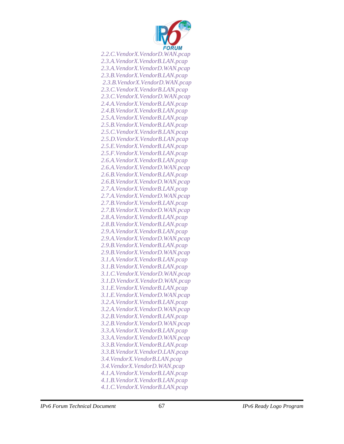

*2.2.C.VendorX.VendorD.WAN.pcap 2.3.A.VendorX.VendorB.LAN.pcap 2.3.A.VendorX.VendorD.WAN.pcap 2.3.B.VendorX.VendorB.LAN.pcap 2.3.B.VendorX.VendorD.WAN.pcap 2.3.C.VendorX.VendorB.LAN.pcap 2.3.C.VendorX.VendorD.WAN.pcap 2.4.A.VendorX.VendorB.LAN.pcap 2.4.B.VendorX.VendorB.LAN.pcap 2.5.A.VendorX.VendorB.LAN.pcap 2.5.B.VendorX.VendorB.LAN.pcap 2.5.C.VendorX.VendorB.LAN.pcap 2.5.D.VendorX.VendorB.LAN.pcap 2.5.E.VendorX.VendorB.LAN.pcap 2.5.F.VendorX.VendorB.LAN.pcap 2.6.A.VendorX.VendorB.LAN.pcap 2.6.A.VendorX.VendorD.WAN.pcap 2.6.B.VendorX.VendorB.LAN.pcap 2.6.B.VendorX.VendorD.WAN.pcap 2.7.A.VendorX.VendorB.LAN.pcap 2.7.A.VendorX.VendorD.WAN.pcap 2.7.B.VendorX.VendorB.LAN.pcap 2.7.B.VendorX.VendorD.WAN.pcap 2.8.A.VendorX.VendorB.LAN.pcap 2.8.B.VendorX.VendorB.LAN.pcap 2.9.A.VendorX.VendorB.LAN.pcap 2.9.A.VendorX.VendorD.WAN.pcap 2.9.B.VendorX.VendorB.LAN.pcap 2.9.B.VendorX.VendorD.WAN.pcap 3.1.A.VendorX.VendorB.LAN.pcap 3.1.B.VendorX.VendorB.LAN.pcap 3.1.C.VendorX.VendorD.WAN.pcap 3.1.D.VendorX.VendorD.WAN.pcap 3.1.E.VendorX.VendorB.LAN.pcap 3.1.E.VendorX.VendorD.WAN.pcap 3.2.A.VendorX.VendorB.LAN.pcap 3.2.A.VendorX.VendorD.WAN.pcap 3.2.B.VendorX.VendorB.LAN.pcap 3.2.B.VendorX.VendorD.WAN.pcap 3.3.A.VendorX.VendorB.LAN.pcap 3.3.A.VendorX.VendorD.WAN.pcap 3.3.B.VendorX.VendorB.LAN.pcap 3.3.B.VendorX.VendorD.LAN.pcap 3.4.VendorX.VendorB.LAN.pcap 3.4.VendorX.VendorD.WAN.pcap 4.1.A.VendorX.VendorB.LAN.pcap 4.1.B.VendorX.VendorB.LAN.pcap 4.1.C.VendorX.VendorB.LAN.pcap*